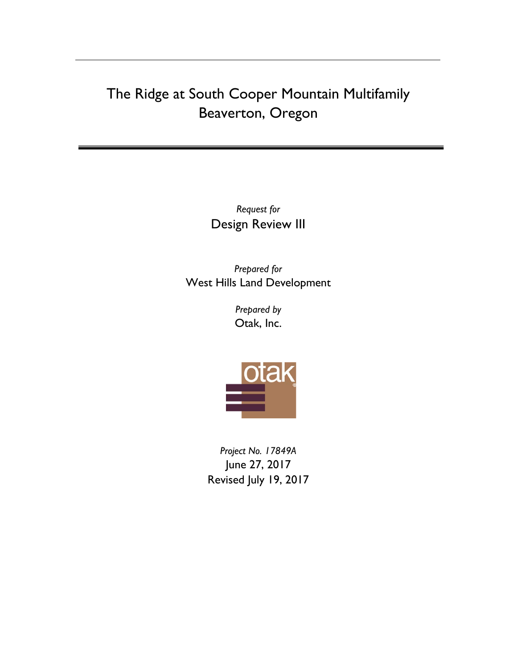# The Ridge at South Cooper Mountain Multifamily Beaverton, Oregon

*Request for*  Design Review III

*Prepared for* West Hills Land Development

> *Prepared by* Otak, Inc.



*Project No. 17849A* June 27, 2017 Revised July 19, 2017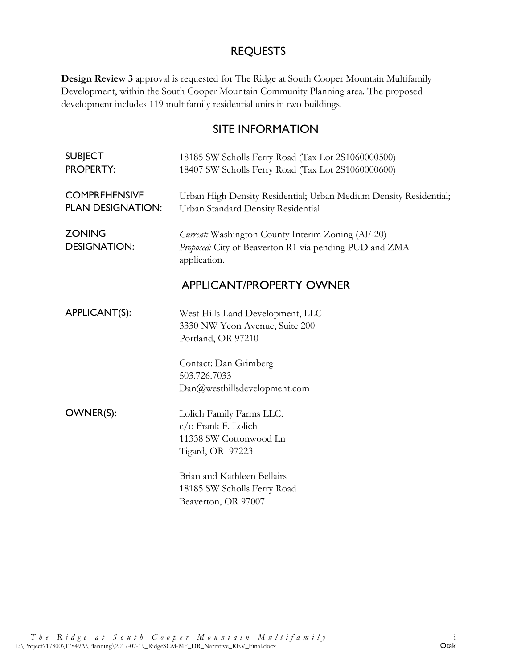# REQUESTS

**Design Review 3** approval is requested for The Ridge at South Cooper Mountain Multifamily Development, within the South Cooper Mountain Community Planning area. The proposed development includes 119 multifamily residential units in two buildings.

# SITE INFORMATION

| <b>SUBJECT</b><br><b>PROPERTY:</b>               | 18185 SW Scholls Ferry Road (Tax Lot 2S1060000500)<br>18407 SW Scholls Ferry Road (Tax Lot 2S1060000600)                    |  |  |  |
|--------------------------------------------------|-----------------------------------------------------------------------------------------------------------------------------|--|--|--|
| <b>COMPREHENSIVE</b><br><b>PLAN DESIGNATION:</b> | Urban High Density Residential; Urban Medium Density Residential;<br>Urban Standard Density Residential                     |  |  |  |
| <b>ZONING</b><br><b>DESIGNATION:</b>             | Current: Washington County Interim Zoning (AF-20)<br>Proposed: City of Beaverton R1 via pending PUD and ZMA<br>application. |  |  |  |
|                                                  | <b>APPLICANT/PROPERTY OWNER</b>                                                                                             |  |  |  |
| APPLICANT(S):                                    | West Hills Land Development, LLC<br>3330 NW Yeon Avenue, Suite 200<br>Portland, OR 97210                                    |  |  |  |
|                                                  | Contact: Dan Grimberg<br>503.726.7033<br>Dan@westhillsdevelopment.com                                                       |  |  |  |
| OWNER(S):                                        | Lolich Family Farms LLC.<br>c/o Frank F. Lolich<br>11338 SW Cottonwood Ln<br>Tigard, OR 97223                               |  |  |  |
|                                                  | Brian and Kathleen Bellairs<br>18185 SW Scholls Ferry Road<br>Beaverton, OR 97007                                           |  |  |  |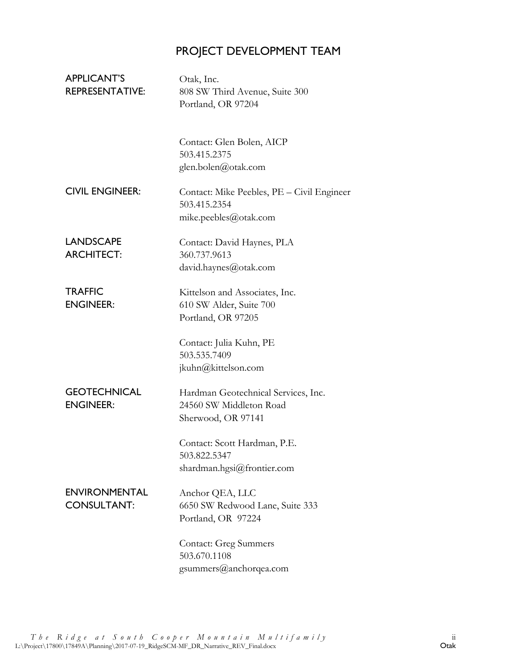# PROJECT DEVELOPMENT TEAM

| <b>APPLICANT'S</b><br><b>REPRESENTATIVE:</b> | Otak, Inc.<br>808 SW Third Avenue, Suite 300<br>Portland, OR 97204                   |
|----------------------------------------------|--------------------------------------------------------------------------------------|
|                                              | Contact: Glen Bolen, AICP<br>503.415.2375<br>glen.bolen@otak.com                     |
| <b>CIVIL ENGINEER:</b>                       | Contact: Mike Peebles, PE - Civil Engineer<br>503.415.2354<br>mike.peebles@otak.com  |
| <b>LANDSCAPE</b><br><b>ARCHITECT:</b>        | Contact: David Haynes, PLA<br>360.737.9613<br>david.haynes@otak.com                  |
| <b>TRAFFIC</b><br><b>ENGINEER:</b>           | Kittelson and Associates, Inc.<br>610 SW Alder, Suite 700<br>Portland, OR 97205      |
|                                              | Contact: Julia Kuhn, PE<br>503.535.7409<br>jkuhn@kittelson.com                       |
| <b>GEOTECHNICAL</b><br><b>ENGINEER:</b>      | Hardman Geotechnical Services, Inc.<br>24560 SW Middleton Road<br>Sherwood, OR 97141 |
|                                              | Contact: Scott Hardman, P.E.<br>503.822.5347<br>shardman.hgsi@frontier.com           |
| <b>ENVIRONMENTAL</b><br><b>CONSULTANT:</b>   | Anchor QEA, LLC<br>6650 SW Redwood Lane, Suite 333<br>Portland, OR 97224             |
|                                              | <b>Contact: Greg Summers</b><br>503.670.1108<br>gsummers@anchorqea.com               |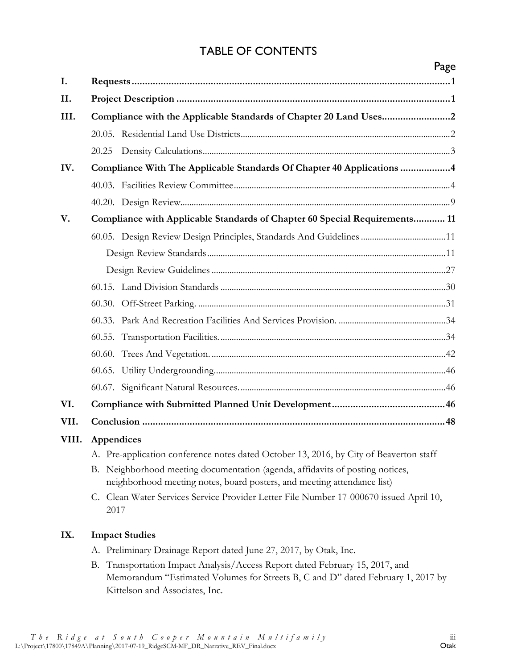# TABLE OF CONTENTS

|       |                                                                                                                                                                                                   | Page |  |  |  |  |
|-------|---------------------------------------------------------------------------------------------------------------------------------------------------------------------------------------------------|------|--|--|--|--|
| I.    |                                                                                                                                                                                                   |      |  |  |  |  |
| II.   |                                                                                                                                                                                                   |      |  |  |  |  |
| III.  |                                                                                                                                                                                                   |      |  |  |  |  |
|       |                                                                                                                                                                                                   |      |  |  |  |  |
|       | 20.25                                                                                                                                                                                             |      |  |  |  |  |
| IV.   | Compliance With The Applicable Standards Of Chapter 40 Applications 4                                                                                                                             |      |  |  |  |  |
|       |                                                                                                                                                                                                   |      |  |  |  |  |
|       |                                                                                                                                                                                                   |      |  |  |  |  |
| V.    | Compliance with Applicable Standards of Chapter 60 Special Requirements 11                                                                                                                        |      |  |  |  |  |
|       | 60.05. Design Review Design Principles, Standards And Guidelines 11                                                                                                                               |      |  |  |  |  |
|       |                                                                                                                                                                                                   |      |  |  |  |  |
|       |                                                                                                                                                                                                   |      |  |  |  |  |
|       |                                                                                                                                                                                                   |      |  |  |  |  |
|       |                                                                                                                                                                                                   |      |  |  |  |  |
|       |                                                                                                                                                                                                   |      |  |  |  |  |
|       |                                                                                                                                                                                                   |      |  |  |  |  |
|       |                                                                                                                                                                                                   |      |  |  |  |  |
|       |                                                                                                                                                                                                   |      |  |  |  |  |
|       |                                                                                                                                                                                                   |      |  |  |  |  |
| VI.   |                                                                                                                                                                                                   |      |  |  |  |  |
| VII.  |                                                                                                                                                                                                   |      |  |  |  |  |
| VIII. | Appendices                                                                                                                                                                                        |      |  |  |  |  |
|       | A. Pre-application conference notes dated October 13, 2016, by City of Beaverton staff                                                                                                            |      |  |  |  |  |
|       | B. Neighborhood meeting documentation (agenda, affidavits of posting notices,<br>neighborhood meeting notes, board posters, and meeting attendance list)                                          |      |  |  |  |  |
|       | C. Clean Water Services Service Provider Letter File Number 17-000670 issued April 10,<br>2017                                                                                                    |      |  |  |  |  |
| IX.   | <b>Impact Studies</b>                                                                                                                                                                             |      |  |  |  |  |
|       | A. Preliminary Drainage Report dated June 27, 2017, by Otak, Inc.                                                                                                                                 |      |  |  |  |  |
|       | B. Transportation Impact Analysis/Access Report dated February 15, 2017, and<br>Memorandum "Estimated Volumes for Streets B, C and D" dated February 1, 2017 by<br>Kittelson and Associates, Inc. |      |  |  |  |  |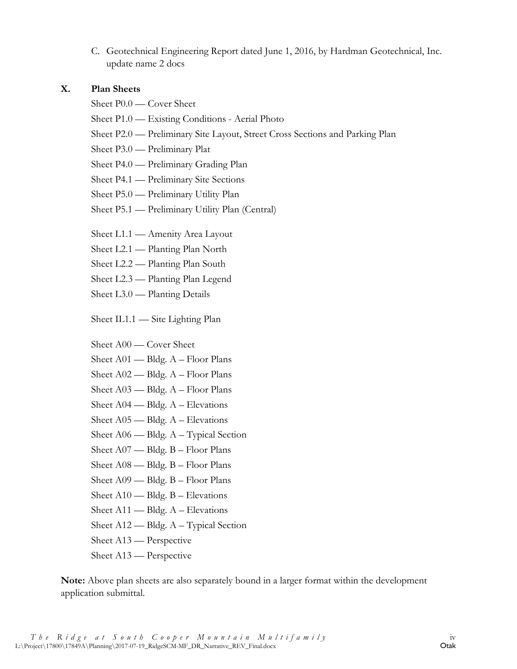C. Geotechnical Engineering Report dated June 1, 2016, by Hardman Geotechnical, Inc. update name 2 docs

#### **X. Plan Sheets**

Sheet P0.0 — Cover Sheet

- Sheet P1.0 Existing Conditions Aerial Photo
- Sheet P2.0 Preliminary Site Layout, Street Cross Sections and Parking Plan
- Sheet P3.0 Preliminary Plat
- Sheet P4.0 Preliminary Grading Plan
- Sheet P4.1 Preliminary Site Sections
- Sheet P5.0 Preliminary Utility Plan
- Sheet P5.1 Preliminary Utility Plan (Central)
- Sheet L1.1 Amenity Area Layout
- Sheet L2.1 Planting Plan North
- Sheet L2.2 Planting Plan South
- Sheet L2.3 Planting Plan Legend
- Sheet L3.0 Planting Details

Sheet IL1.1 — Site Lighting Plan

Sheet A00 — Cover Sheet

- Sheet A01 Bldg. A Floor Plans
- Sheet A02 Bldg. A Floor Plans
- Sheet A03 Bldg. A Floor Plans
- Sheet A04 Bldg. A Elevations
- Sheet A05 Bldg. A Elevations
- Sheet A06 Bldg. A Typical Section
- Sheet A07 Bldg. B Floor Plans
- Sheet A08 Bldg. B Floor Plans
- Sheet A09 Bldg. B Floor Plans
- Sheet A10 Bldg. B Elevations
- Sheet A11 Bldg. A Elevations
- Sheet A12 Bldg. A Typical Section
- Sheet A13 Perspective
- Sheet A13 Perspective

**Note:** Above plan sheets are also separately bound in a larger format within the development application submittal.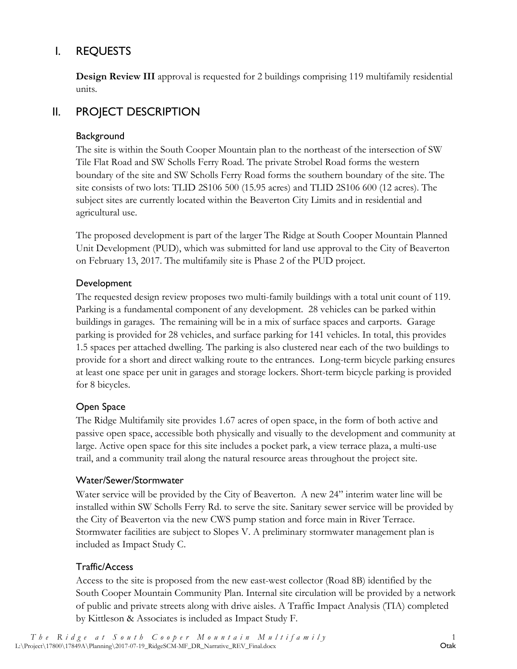# <span id="page-5-0"></span>I. REQUESTS

**Design Review III** approval is requested for 2 buildings comprising 119 multifamily residential units.

# <span id="page-5-1"></span>II. PROJECT DESCRIPTION

#### **Background**

The site is within the South Cooper Mountain plan to the northeast of the intersection of SW Tile Flat Road and SW Scholls Ferry Road. The private Strobel Road forms the western boundary of the site and SW Scholls Ferry Road forms the southern boundary of the site. The site consists of two lots: TLID 2S106 500 (15.95 acres) and TLID 2S106 600 (12 acres). The subject sites are currently located within the Beaverton City Limits and in residential and agricultural use.

The proposed development is part of the larger The Ridge at South Cooper Mountain Planned Unit Development (PUD), which was submitted for land use approval to the City of Beaverton on February 13, 2017. The multifamily site is Phase 2 of the PUD project.

#### Development

The requested design review proposes two multi-family buildings with a total unit count of 119. Parking is a fundamental component of any development. 28 vehicles can be parked within buildings in garages. The remaining will be in a mix of surface spaces and carports. Garage parking is provided for 28 vehicles, and surface parking for 141 vehicles. In total, this provides 1.5 spaces per attached dwelling. The parking is also clustered near each of the two buildings to provide for a short and direct walking route to the entrances. Long-term bicycle parking ensures at least one space per unit in garages and storage lockers. Short-term bicycle parking is provided for 8 bicycles.

#### Open Space

The Ridge Multifamily site provides 1.67 acres of open space, in the form of both active and passive open space, accessible both physically and visually to the development and community at large. Active open space for this site includes a pocket park, a view terrace plaza, a multi-use trail, and a community trail along the natural resource areas throughout the project site.

#### Water/Sewer/Stormwater

Water service will be provided by the City of Beaverton. A new 24" interim water line will be installed within SW Scholls Ferry Rd. to serve the site. Sanitary sewer service will be provided by the City of Beaverton via the new CWS pump station and force main in River Terrace. Stormwater facilities are subject to Slopes V. A preliminary stormwater management plan is included as Impact Study C.

#### Traffic/Access

Access to the site is proposed from the new east-west collector (Road 8B) identified by the South Cooper Mountain Community Plan. Internal site circulation will be provided by a network of public and private streets along with drive aisles. A Traffic Impact Analysis (TIA) completed by Kittleson & Associates is included as Impact Study F.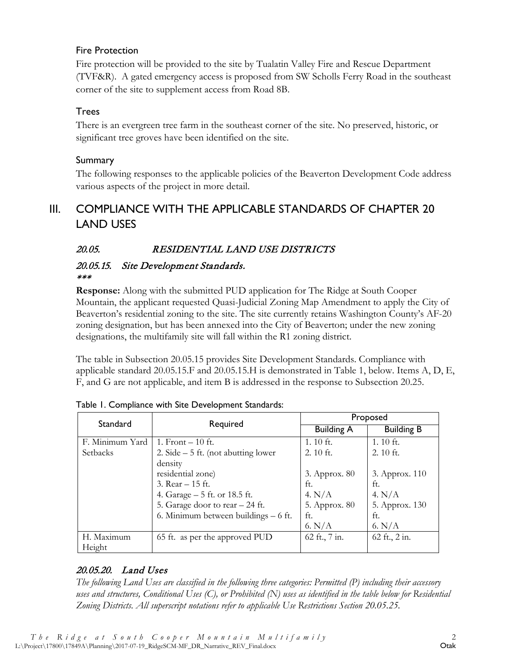#### Fire Protection

Fire protection will be provided to the site by Tualatin Valley Fire and Rescue Department (TVF&R). A gated emergency access is proposed from SW Scholls Ferry Road in the southeast corner of the site to supplement access from Road 8B.

#### Trees

There is an evergreen tree farm in the southeast corner of the site. No preserved, historic, or significant tree groves have been identified on the site.

#### Summary

The following responses to the applicable policies of the Beaverton Development Code address various aspects of the project in more detail.

# <span id="page-6-0"></span>III. COMPLIANCE WITH THE APPLICABLE STANDARDS OF CHAPTER 20 LAND USES

# <span id="page-6-1"></span>20.05. RESIDENTIAL LAND USE DISTRICTS

#### 20.05.15. Site Development Standards. \*\*\*

**Response:** Along with the submitted PUD application for The Ridge at South Cooper Mountain, the applicant requested Quasi-Judicial Zoning Map Amendment to apply the City of Beaverton's residential zoning to the site. The site currently retains Washington County's AF-20 zoning designation, but has been annexed into the City of Beaverton; under the new zoning designations, the multifamily site will fall within the R1 zoning district.

The table in Subsection 20.05.15 provides Site Development Standards. Compliance with applicable standard 20.05.15.F and 20.05.15.H is demonstrated in Table 1, below. Items A, D, E, F, and G are not applicable, and item B is addressed in the response to Subsection 20.25.

| Standard        | Required                              | Proposed          |                   |  |  |
|-----------------|---------------------------------------|-------------------|-------------------|--|--|
|                 |                                       | <b>Building A</b> | <b>Building B</b> |  |  |
| F. Minimum Yard | 1. Front $-10$ ft.                    | 1.10 $ft.$        | 1.10 $ft.$        |  |  |
| Setbacks        | 2. Side $-5$ ft. (not abutting lower  | 2. 10 ft.         | $2.10$ ft.        |  |  |
|                 | density                               |                   |                   |  |  |
|                 | residential zone)                     | 3. Approx. 80     | 3. Approx. 110    |  |  |
|                 | 3. Rear $-15$ ft.                     | ft.               | ft.               |  |  |
|                 | 4. Garage – 5 ft. or 18.5 ft.         | 4. $N/A$          | 4. $N/A$          |  |  |
|                 | 5. Garage door to rear - 24 ft.       | 5. Approx. 80     | 5. Approx. 130    |  |  |
|                 | 6. Minimum between buildings $-6$ ft. | ft.               | ft.               |  |  |
|                 |                                       | 6. N/A            | 6. N/A            |  |  |
| H. Maximum      | 65 ft. as per the approved PUD        | 62 ft., 7 in.     | 62 ft., 2 in.     |  |  |
| Height          |                                       |                   |                   |  |  |

Table 1. Compliance with Site Development Standards:

# 20.05.20. Land Uses

*The following Land Uses are classified in the following three categories: Permitted (P) including their accessory uses and structures, Conditional Uses (C), or Prohibited (N) uses as identified in the table below for Residential Zoning Districts. All superscript notations refer to applicable Use Restrictions Section 20.05.25.*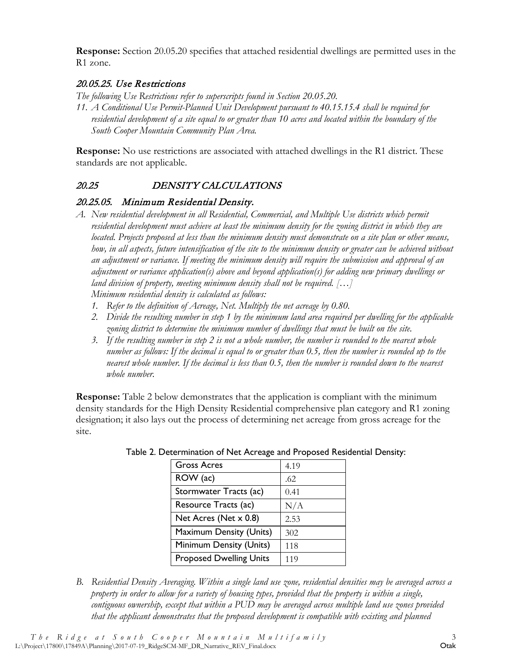**Response:** Section 20.05.20 specifies that attached residential dwellings are permitted uses in the R1 zone.

#### 20.05.25. Use Restrictions

*The following Use Restrictions refer to superscripts found in Section 20.05.20.*

*11. A Conditional Use Permit-Planned Unit Development pursuant to 40.15.15.4 shall be required for residential development of a site equal to or greater than 10 acres and located within the boundary of the South Cooper Mountain Community Plan Area.*

**Response:** No use restrictions are associated with attached dwellings in the R1 district. These standards are not applicable.

# <span id="page-7-0"></span>20.25 DENSITY CALCULATIONS

#### 20.25.05. Minimum Residential Density.

- *A. New residential development in all Residential, Commercial, and Multiple Use districts which permit residential development must achieve at least the minimum density for the zoning district in which they are located. Projects proposed at less than the minimum density must demonstrate on a site plan or other means, how, in all aspects, future intensification of the site to the minimum density or greater can be achieved without an adjustment or variance. If meeting the minimum density will require the submission and approval of an adjustment or variance application(s) above and beyond application(s) for adding new primary dwellings or land division of property, meeting minimum density shall not be required. […] Minimum residential density is calculated as follows:*
	- *1. Refer to the definition of Acreage, Net. Multiply the net acreage by 0.80.*
	- *2. Divide the resulting number in step 1 by the minimum land area required per dwelling for the applicable zoning district to determine the minimum number of dwellings that must be built on the site.*
	- *3. If the resulting number in step 2 is not a whole number, the number is rounded to the nearest whole number as follows: If the decimal is equal to or greater than 0.5, then the number is rounded up to the nearest whole number. If the decimal is less than 0.5, then the number is rounded down to the nearest whole number.*

**Response:** Table 2 below demonstrates that the application is compliant with the minimum density standards for the High Density Residential comprehensive plan category and R1 zoning designation; it also lays out the process of determining net acreage from gross acreage for the site.

| <b>Gross Acres</b>             | 4.19 |
|--------------------------------|------|
| ROW (ac)                       | .62  |
| Stormwater Tracts (ac)         | 0.41 |
| Resource Tracts (ac)           | N/A  |
| Net Acres (Net x 0.8)          | 2.53 |
| Maximum Density (Units)        | 302  |
| Minimum Density (Units)        | 118  |
| <b>Proposed Dwelling Units</b> | 119  |

Table 2. Determination of Net Acreage and Proposed Residential Density:

*B. Residential Density Averaging. Within a single land use zone, residential densities may be averaged across a property in order to allow for a variety of housing types, provided that the property is within a single, contiguous ownership, except that within a PUD may be averaged across multiple land use zones provided that the applicant demonstrates that the proposed development is compatible with existing and planned*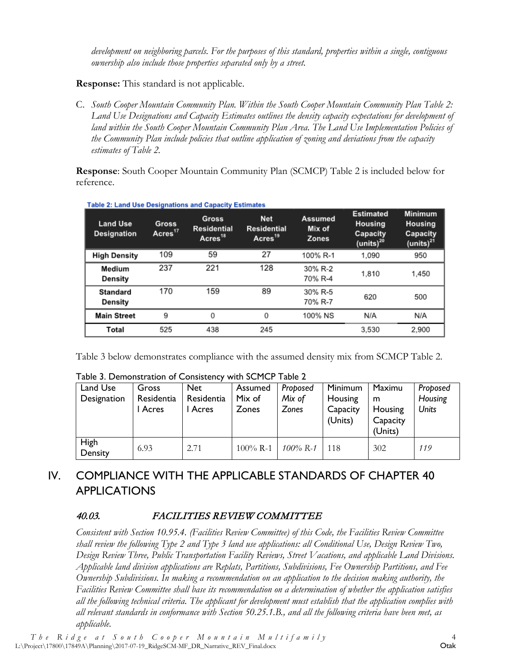*development on neighboring parcels. For the purposes of this standard, properties within a single, contiguous ownership also include those properties separated only by a street.* 

**Response:** This standard is not applicable.

C. *South Cooper Mountain Community Plan. Within the South Cooper Mountain Community Plan Table 2: Land Use Designations and Capacity Estimates outlines the density capacity expectations for development of land within the South Cooper Mountain Community Plan Area. The Land Use Implementation Policies of the Community Plan include policies that outline application of zoning and deviations from the capacity estimates of Table 2.* 

**Response**: South Cooper Mountain Community Plan (SCMCP) Table 2 is included below for reference.

| <b>Land Use</b><br><b>Designation</b> | ------------<br>Gross<br>Acres <sup>17</sup> | $m \sim m$ parasity modelling to<br>Gross<br>Residential<br>Acres <sup>18</sup> | <b>Net</b><br>Residential<br>Acres <sup>19</sup> | Assumed<br>Mix of<br><b>Zones</b> | <b>Estimated</b><br>Housing<br>Capacity<br>(units) <sup>20</sup> | <b>Minimum</b><br>Housing<br>Capacity<br>(units) $^{21}$ |
|---------------------------------------|----------------------------------------------|---------------------------------------------------------------------------------|--------------------------------------------------|-----------------------------------|------------------------------------------------------------------|----------------------------------------------------------|
| <b>High Density</b>                   | 109                                          | 59                                                                              | 27                                               | 100% R-1                          | 1.090                                                            | 950                                                      |
| Medium<br>Density                     | 237                                          | 221                                                                             | 128                                              | 30% R-2<br>70% R-4                | 1.810                                                            | 1.450                                                    |
| <b>Standard</b><br>Density            | 170                                          | 159                                                                             | 89                                               | 30% R-5<br>70% R-7                | 620                                                              | 500                                                      |
| <b>Main Street</b>                    | 9                                            | 0                                                                               | 0                                                | 100% NS                           | N/A                                                              | N/A                                                      |
| Total                                 | 525                                          | 438                                                                             | 245                                              |                                   | 3,530                                                            | 2,900                                                    |

Table 2: Land Hee Decianations and Canacity Fetimates

Table 3 below demonstrates compliance with the assumed density mix from SCMCP Table 2.

| $1$ abic 5. Definense agon of Consistency with SCT for Table 2 |            |            |              |             |          |          |              |  |
|----------------------------------------------------------------|------------|------------|--------------|-------------|----------|----------|--------------|--|
| Land Use                                                       | Gross      | <b>Net</b> | Assumed      | Proposed    | Minimum  | Maximu   | Proposed     |  |
| Designation                                                    | Residentia | Residentia | Mix of       | Mix of      | Housing  | m        | Housing      |  |
|                                                                | Acres      | I Acres    | <b>Zones</b> | Zones       | Capacity | Housing  | <b>Units</b> |  |
|                                                                |            |            |              |             | (Units)  | Capacity |              |  |
|                                                                |            |            |              |             |          | (Units)  |              |  |
| <b>High</b>                                                    | 6.93       | 2.71       | $100\%$ R-1  | $100\%$ R-1 | 118      | 302      | 119          |  |
| Density                                                        |            |            |              |             |          |          |              |  |

Table 3. Demonstration of Consistency with SCMCP Table 2

# <span id="page-8-0"></span>IV. COMPLIANCE WITH THE APPLICABLE STANDARDS OF CHAPTER 40 APPLICATIONS

#### <span id="page-8-1"></span>40.03. FACILITIES REVIEW COMMITTEE

*Consistent with Section 10.95.4. (Facilities Review Committee) of this Code, the Facilities Review Committee shall review the following Type 2 and Type 3 land use applications: all Conditional Use, Design Review Two, Design Review Three, Public Transportation Facility Reviews, Street Vacations, and applicable Land Divisions. Applicable land division applications are Replats, Partitions, Subdivisions, Fee Ownership Partitions, and Fee Ownership Subdivisions. In making a recommendation on an application to the decision making authority, the Facilities Review Committee shall base its recommendation on a determination of whether the application satisfies all the following technical criteria. The applicant for development must establish that the application complies with all relevant standards in conformance with Section 50.25.1.B., and all the following criteria have been met, as applicable.*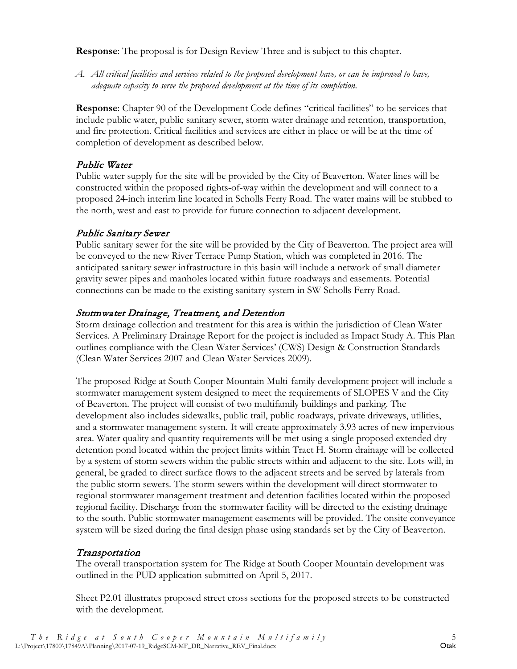**Response**: The proposal is for Design Review Three and is subject to this chapter.

*A. All critical facilities and services related to the proposed development have, or can be improved to have, adequate capacity to serve the proposed development at the time of its completion.*

**Response**: Chapter 90 of the Development Code defines "critical facilities" to be services that include public water, public sanitary sewer, storm water drainage and retention, transportation, and fire protection. Critical facilities and services are either in place or will be at the time of completion of development as described below.

#### Public Water

Public water supply for the site will be provided by the City of Beaverton. Water lines will be constructed within the proposed rights-of-way within the development and will connect to a proposed 24-inch interim line located in Scholls Ferry Road. The water mains will be stubbed to the north, west and east to provide for future connection to adjacent development.

#### Public Sanitary Sewer

Public sanitary sewer for the site will be provided by the City of Beaverton. The project area will be conveyed to the new River Terrace Pump Station, which was completed in 2016. The anticipated sanitary sewer infrastructure in this basin will include a network of small diameter gravity sewer pipes and manholes located within future roadways and easements. Potential connections can be made to the existing sanitary system in SW Scholls Ferry Road.

#### Stormwater Drainage, Treatment, and Detention

Storm drainage collection and treatment for this area is within the jurisdiction of Clean Water Services. A Preliminary Drainage Report for the project is included as Impact Study A. This Plan outlines compliance with the Clean Water Services' (CWS) Design & Construction Standards (Clean Water Services 2007 and Clean Water Services 2009).

The proposed Ridge at South Cooper Mountain Multi-family development project will include a stormwater management system designed to meet the requirements of SLOPES V and the City of Beaverton. The project will consist of two multifamily buildings and parking. The development also includes sidewalks, public trail, public roadways, private driveways, utilities, and a stormwater management system. It will create approximately 3.93 acres of new impervious area. Water quality and quantity requirements will be met using a single proposed extended dry detention pond located within the project limits within Tract H. Storm drainage will be collected by a system of storm sewers within the public streets within and adjacent to the site. Lots will, in general, be graded to direct surface flows to the adjacent streets and be served by laterals from the public storm sewers. The storm sewers within the development will direct stormwater to regional stormwater management treatment and detention facilities located within the proposed regional facility. Discharge from the stormwater facility will be directed to the existing drainage to the south. Public stormwater management easements will be provided. The onsite conveyance system will be sized during the final design phase using standards set by the City of Beaverton.

#### Transportation

The overall transportation system for The Ridge at South Cooper Mountain development was outlined in the PUD application submitted on April 5, 2017.

Sheet P2.01 illustrates proposed street cross sections for the proposed streets to be constructed with the development.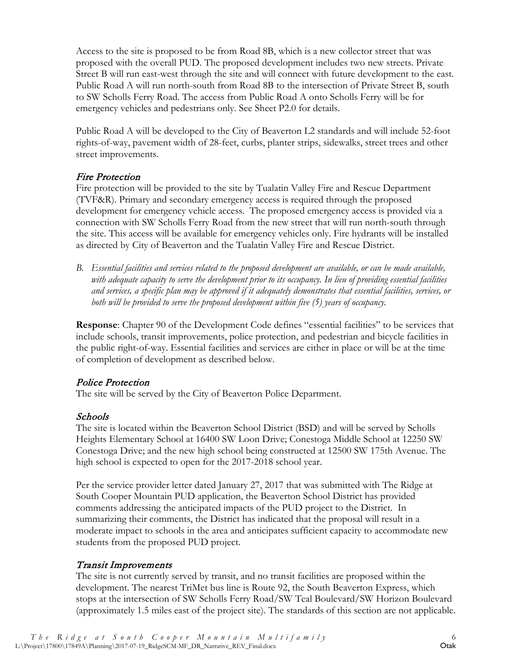Access to the site is proposed to be from Road 8B, which is a new collector street that was proposed with the overall PUD. The proposed development includes two new streets. Private Street B will run east-west through the site and will connect with future development to the east. Public Road A will run north-south from Road 8B to the intersection of Private Street B, south to SW Scholls Ferry Road. The access from Public Road A onto Scholls Ferry will be for emergency vehicles and pedestrians only. See Sheet P2.0 for details.

Public Road A will be developed to the City of Beaverton L2 standards and will include 52-foot rights-of-way, pavement width of 28-feet, curbs, planter strips, sidewalks, street trees and other street improvements.

#### Fire Protection

Fire protection will be provided to the site by Tualatin Valley Fire and Rescue Department (TVF&R). Primary and secondary emergency access is required through the proposed development for emergency vehicle access. The proposed emergency access is provided via a connection with SW Scholls Ferry Road from the new street that will run north-south through the site. This access will be available for emergency vehicles only. Fire hydrants will be installed as directed by City of Beaverton and the Tualatin Valley Fire and Rescue District.

*B. Essential facilities and services related to the proposed development are available, or can be made available, with adequate capacity to serve the development prior to its occupancy. In lieu of providing essential facilities and services, a specific plan may be approved if it adequately demonstrates that essential facilities, services, or both will be provided to serve the proposed development within five (5) years of occupancy.*

**Response**: Chapter 90 of the Development Code defines "essential facilities" to be services that include schools, transit improvements, police protection, and pedestrian and bicycle facilities in the public right-of-way. Essential facilities and services are either in place or will be at the time of completion of development as described below.

#### Police Protection

The site will be served by the City of Beaverton Police Department.

#### Schools

The site is located within the Beaverton School District (BSD) and will be served by Scholls Heights Elementary School at 16400 SW Loon Drive; Conestoga Middle School at 12250 SW Conestoga Drive; and the new high school being constructed at 12500 SW 175th Avenue. The high school is expected to open for the 2017-2018 school year.

Per the service provider letter dated January 27, 2017 that was submitted with The Ridge at South Cooper Mountain PUD application, the Beaverton School District has provided comments addressing the anticipated impacts of the PUD project to the District. In summarizing their comments, the District has indicated that the proposal will result in a moderate impact to schools in the area and anticipates sufficient capacity to accommodate new students from the proposed PUD project.

#### Transit Improvements

The site is not currently served by transit, and no transit facilities are proposed within the development. The nearest TriMet bus line is Route 92, the South Beaverton Express, which stops at the intersection of SW Scholls Ferry Road/SW Teal Boulevard/SW Horizon Boulevard (approximately 1.5 miles east of the project site). The standards of this section are not applicable.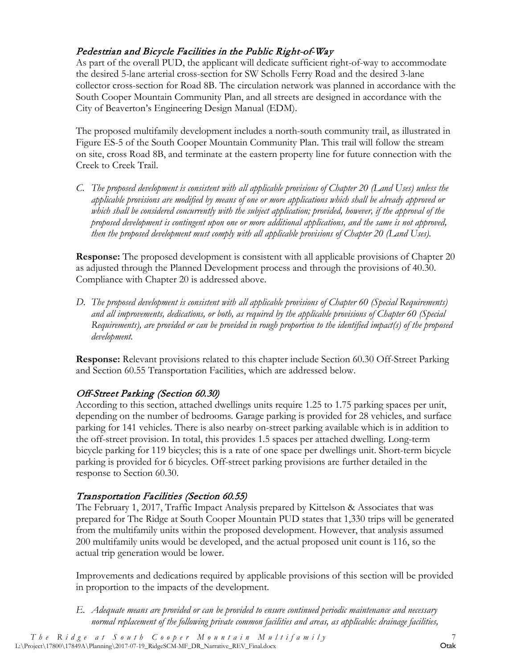# Pedestrian and Bicycle Facilities in the Public Right-of-Way

As part of the overall PUD, the applicant will dedicate sufficient right-of-way to accommodate the desired 5-lane arterial cross-section for SW Scholls Ferry Road and the desired 3-lane collector cross-section for Road 8B. The circulation network was planned in accordance with the South Cooper Mountain Community Plan, and all streets are designed in accordance with the City of Beaverton's Engineering Design Manual (EDM).

The proposed multifamily development includes a north-south community trail, as illustrated in Figure ES-5 of the South Cooper Mountain Community Plan. This trail will follow the stream on site, cross Road 8B, and terminate at the eastern property line for future connection with the Creek to Creek Trail.

*C. The proposed development is consistent with all applicable provisions of Chapter 20 (Land Uses) unless the applicable provisions are modified by means of one or more applications which shall be already approved or which shall be considered concurrently with the subject application; provided, however, if the approval of the proposed development is contingent upon one or more additional applications, and the same is not approved, then the proposed development must comply with all applicable provisions of Chapter 20 (Land Uses).*

**Response:** The proposed development is consistent with all applicable provisions of Chapter 20 as adjusted through the Planned Development process and through the provisions of 40.30. Compliance with Chapter 20 is addressed above.

*D. The proposed development is consistent with all applicable provisions of Chapter 60 (Special Requirements) and all improvements, dedications, or both, as required by the applicable provisions of Chapter 60 (Special Requirements), are provided or can be provided in rough proportion to the identified impact(s) of the proposed development.*

**Response:** Relevant provisions related to this chapter include Section 60.30 Off-Street Parking and Section 60.55 Transportation Facilities, which are addressed below.

#### Off-Street Parking (Section 60.30)

According to this section, attached dwellings units require 1.25 to 1.75 parking spaces per unit, depending on the number of bedrooms. Garage parking is provided for 28 vehicles, and surface parking for 141 vehicles. There is also nearby on-street parking available which is in addition to the off-street provision. In total, this provides 1.5 spaces per attached dwelling. Long-term bicycle parking for 119 bicycles; this is a rate of one space per dwellings unit. Short-term bicycle parking is provided for 6 bicycles. Off-street parking provisions are further detailed in the response to Section 60.30.

#### Transportation Facilities (Section 60.55)

The February 1, 2017, Traffic Impact Analysis prepared by Kittelson & Associates that was prepared for The Ridge at South Cooper Mountain PUD states that 1,330 trips will be generated from the multifamily units within the proposed development. However, that analysis assumed 200 multifamily units would be developed, and the actual proposed unit count is 116, so the actual trip generation would be lower.

Improvements and dedications required by applicable provisions of this section will be provided in proportion to the impacts of the development.

*E. Adequate means are provided or can be provided to ensure continued periodic maintenance and necessary normal replacement of the following private common facilities and areas, as applicable: drainage facilities,*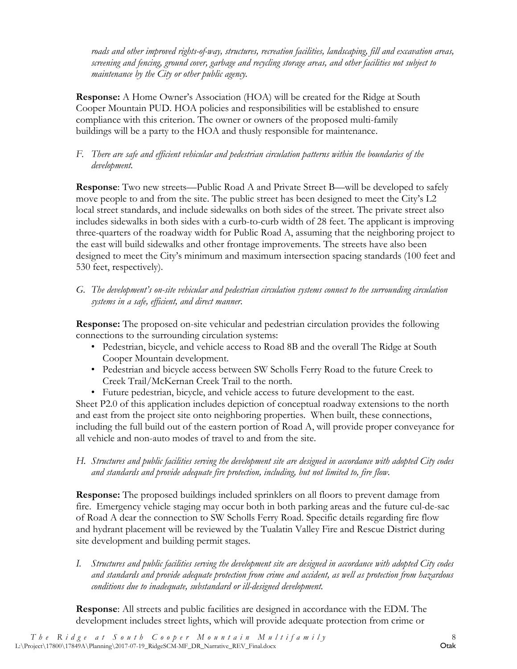*roads and other improved rights-of-way, structures, recreation facilities, landscaping, fill and excavation areas, screening and fencing, ground cover, garbage and recycling storage areas, and other facilities not subject to maintenance by the City or other public agency.*

**Response:** A Home Owner's Association (HOA) will be created for the Ridge at South Cooper Mountain PUD. HOA policies and responsibilities will be established to ensure compliance with this criterion. The owner or owners of the proposed multi-family buildings will be a party to the HOA and thusly responsible for maintenance.

#### *F. There are safe and efficient vehicular and pedestrian circulation patterns within the boundaries of the development.*

**Response**: Two new streets—Public Road A and Private Street B—will be developed to safely move people to and from the site. The public street has been designed to meet the City's L2 local street standards, and include sidewalks on both sides of the street. The private street also includes sidewalks in both sides with a curb-to-curb width of 28 feet. The applicant is improving three-quarters of the roadway width for Public Road A, assuming that the neighboring project to the east will build sidewalks and other frontage improvements. The streets have also been designed to meet the City's minimum and maximum intersection spacing standards (100 feet and 530 feet, respectively).

*G. The development's on-site vehicular and pedestrian circulation systems connect to the surrounding circulation systems in a safe, efficient, and direct manner.*

**Response:** The proposed on-site vehicular and pedestrian circulation provides the following connections to the surrounding circulation systems:

- Pedestrian, bicycle, and vehicle access to Road 8B and the overall The Ridge at South Cooper Mountain development.
- Pedestrian and bicycle access between SW Scholls Ferry Road to the future Creek to Creek Trail/McKernan Creek Trail to the north.
- Future pedestrian, bicycle, and vehicle access to future development to the east.

Sheet P2.0 of this application includes depiction of conceptual roadway extensions to the north and east from the project site onto neighboring properties. When built, these connections, including the full build out of the eastern portion of Road A, will provide proper conveyance for all vehicle and non-auto modes of travel to and from the site.

*H. Structures and public facilities serving the development site are designed in accordance with adopted City codes and standards and provide adequate fire protection, including, but not limited to, fire flow.*

**Response:** The proposed buildings included sprinklers on all floors to prevent damage from fire. Emergency vehicle staging may occur both in both parking areas and the future cul-de-sac of Road A dear the connection to SW Scholls Ferry Road. Specific details regarding fire flow and hydrant placement will be reviewed by the Tualatin Valley Fire and Rescue District during site development and building permit stages.

*I. Structures and public facilities serving the development site are designed in accordance with adopted City codes and standards and provide adequate protection from crime and accident, as well as protection from hazardous conditions due to inadequate, substandard or ill-designed development.*

**Response**: All streets and public facilities are designed in accordance with the EDM. The development includes street lights, which will provide adequate protection from crime or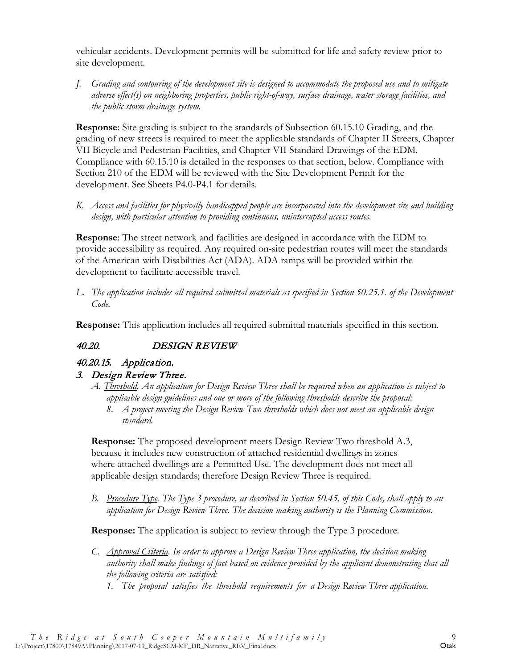vehicular accidents. Development permits will be submitted for life and safety review prior to site development.

*J. Grading and contouring of the development site is designed to accommodate the proposed use and to mitigate adverse effect(s) on neighboring properties, public right-of-way, surface drainage, water storage facilities, and the public storm drainage system.*

**Response**: Site grading is subject to the standards of Subsection 60.15.10 Grading, and the grading of new streets is required to meet the applicable standards of Chapter II Streets, Chapter VII Bicycle and Pedestrian Facilities, and Chapter VII Standard Drawings of the EDM. Compliance with 60.15.10 is detailed in the responses to that section, below. Compliance with Section 210 of the EDM will be reviewed with the Site Development Permit for the development. See Sheets P4.0-P4.1 for details.

*K. Access and facilities for physically handicapped people are incorporated into the development site and building design, with particular attention to providing continuous, uninterrupted access routes.* 

**Response**: The street network and facilities are designed in accordance with the EDM to provide accessibility as required. Any required on-site pedestrian routes will meet the standards of the American with Disabilities Act (ADA). ADA ramps will be provided within the development to facilitate accessible travel.

*L. The application includes all required submittal materials as specified in Section 50.25.1. of the Development Code.* 

**Response:** This application includes all required submittal materials specified in this section.

# <span id="page-13-0"></span>40.20. DESIGN REVIEW

# 40.20.15. Application.

#### 3. Design Review Three.

- *A. Threshold. An application for Design Review Three shall be required when an application is subject to applicable design guidelines and one or more of the following thresholds describe the proposal:*
	- *8. A project meeting the Design Review Two thresholds which does not meet an applicable design standard.*

**Response:** The proposed development meets Design Review Two threshold A.3, because it includes new construction of attached residential dwellings in zones where attached dwellings are a Permitted Use. The development does not meet all applicable design standards; therefore Design Review Three is required.

*B. Procedure Type. The Type 3 procedure, as described in Section 50.45. of this Code, shall apply to an application for Design Review Three. The decision making authority is the Planning Commission.*

**Response:** The application is subject to review through the Type 3 procedure.

- *C. Approval Criteria. In order to approve a Design Review Three application, the decision making authority shall make findings of fact based on evidence provided by the applicant demonstrating that all the following criteria are satisfied:*
	- *1. The proposal satisfies the threshold requirements for a Design Review Three application.*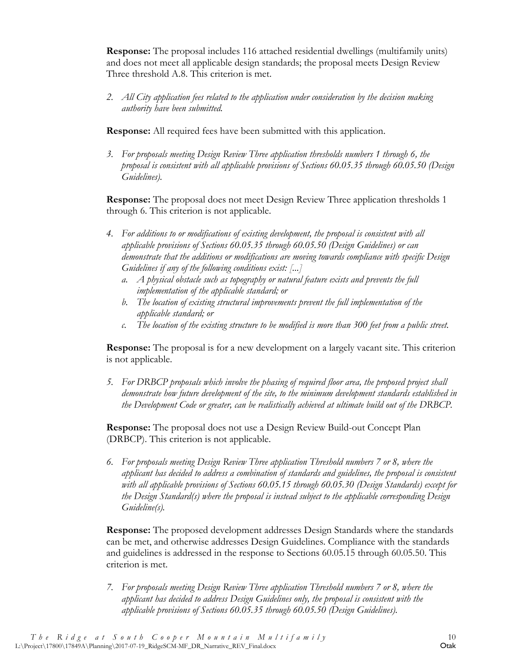**Response:** The proposal includes 116 attached residential dwellings (multifamily units) and does not meet all applicable design standards; the proposal meets Design Review Three threshold A.8. This criterion is met.

*2. All City application fees related to the application under consideration by the decision making authority have been submitted.*

**Response:** All required fees have been submitted with this application.

*3. For proposals meeting Design Review Three application thresholds numbers 1 through 6, the proposal is consistent with all applicable provisions of Sections 60.05.35 through 60.05.50 (Design Guidelines).*

**Response:** The proposal does not meet Design Review Three application thresholds 1 through 6. This criterion is not applicable.

- *4. For additions to or modifications of existing development, the proposal is consistent with all applicable provisions of Sections 60.05.35 through 60.05.50 (Design Guidelines) or can demonstrate that the additions or modifications are moving towards compliance with specific Design Guidelines if any of the following conditions exist: [...]*
	- *a. A physical obstacle such as topography or natural feature exists and prevents the full implementation of the applicable standard; or*
	- *b. The location of existing structural improvements prevent the full implementation of the applicable standard; or*
	- *c. The location of the existing structure to be modified is more than 300 feet from a public street.*

**Response:** The proposal is for a new development on a largely vacant site. This criterion is not applicable.

*5. For DRBCP proposals which involve the phasing of required floor area, the proposed project shall demonstrate how future development of the site, to the minimum development standards established in the Development Code or greater, can be realistically achieved at ultimate build out of the DRBCP.*

**Response:** The proposal does not use a Design Review Build-out Concept Plan (DRBCP). This criterion is not applicable.

*6. For proposals meeting Design Review Three application Threshold numbers 7 or 8, where the applicant has decided to address a combination of standards and guidelines, the proposal is consistent with all applicable provisions of Sections 60.05.15 through 60.05.30 (Design Standards) except for the Design Standard(s) where the proposal is instead subject to the applicable corresponding Design Guideline(s).*

**Response:** The proposed development addresses Design Standards where the standards can be met, and otherwise addresses Design Guidelines. Compliance with the standards and guidelines is addressed in the response to Sections 60.05.15 through 60.05.50. This criterion is met.

*7. For proposals meeting Design Review Three application Threshold numbers 7 or 8, where the applicant has decided to address Design Guidelines only, the proposal is consistent with the applicable provisions of Sections 60.05.35 through 60.05.50 (Design Guidelines).*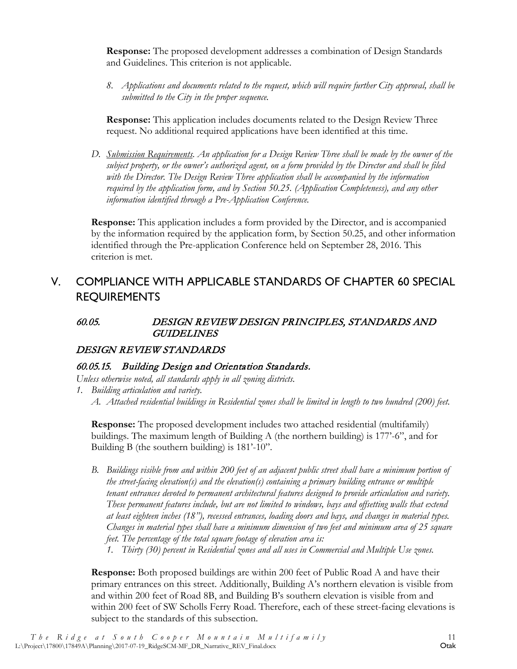**Response:** The proposed development addresses a combination of Design Standards and Guidelines. This criterion is not applicable.

*8. Applications and documents related to the request, which will require further City approval, shall be submitted to the City in the proper sequence.*

**Response:** This application includes documents related to the Design Review Three request. No additional required applications have been identified at this time.

*D. Submission Requirements. An application for a Design Review Three shall be made by the owner of the subject property, or the owner's authorized agent, on a form provided by the Director and shall be filed with the Director. The Design Review Three application shall be accompanied by the information required by the application form, and by Section 50.25. (Application Completeness), and any other information identified through a Pre-Application Conference.*

**Response:** This application includes a form provided by the Director, and is accompanied by the information required by the application form, by Section 50.25, and other information identified through the Pre-application Conference held on September 28, 2016. This criterion is met.

# <span id="page-15-0"></span>V. COMPLIANCE WITH APPLICABLE STANDARDS OF CHAPTER 60 SPECIAL REQUIREMENTS

#### <span id="page-15-1"></span>60.05. DESIGN REVIEW DESIGN PRINCIPLES, STANDARDS AND **GUIDELINES**

#### <span id="page-15-2"></span>DESIGN REVIEW STANDARDS

#### 60.05.15. Building Design and Orientation Standards.

*Unless otherwise noted, all standards apply in all zoning districts.*

- *1. Building articulation and variety.*
	- *A. Attached residential buildings in Residential zones shall be limited in length to two hundred (200) feet.*

**Response:** The proposed development includes two attached residential (multifamily) buildings. The maximum length of Building A (the northern building) is 177'-6", and for Building B (the southern building) is 181'-10".

- *B. Buildings visible from and within 200 feet of an adjacent public street shall have a minimum portion of the street-facing elevation(s) and the elevation(s) containing a primary building entrance or multiple tenant entrances devoted to permanent architectural features designed to provide articulation and variety. These permanent features include, but are not limited to windows, bays and offsetting walls that extend at least eighteen inches (18"), recessed entrances, loading doors and bays, and changes in material types. Changes in material types shall have a minimum dimension of two feet and minimum area of 25 square feet. The percentage of the total square footage of elevation area is:*
	- *1. Thirty (30) percent in Residential zones and all uses in Commercial and Multiple Use zones.*

**Response:** Both proposed buildings are within 200 feet of Public Road A and have their primary entrances on this street. Additionally, Building A's northern elevation is visible from and within 200 feet of Road 8B, and Building B's southern elevation is visible from and within 200 feet of SW Scholls Ferry Road. Therefore, each of these street-facing elevations is subject to the standards of this subsection.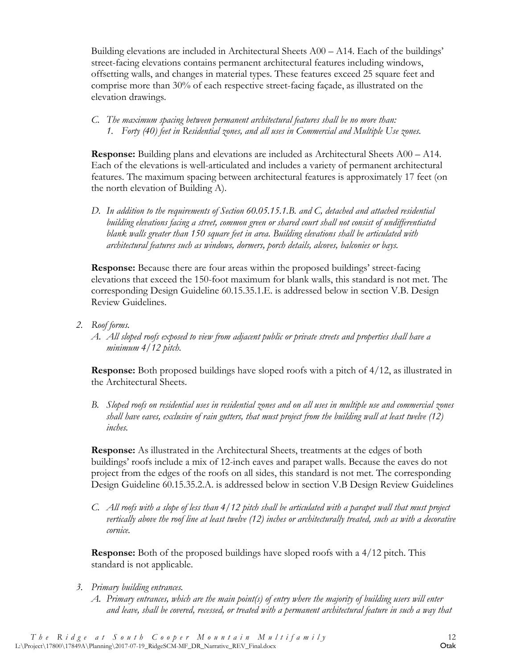Building elevations are included in Architectural Sheets A00 – A14. Each of the buildings' street-facing elevations contains permanent architectural features including windows, offsetting walls, and changes in material types. These features exceed 25 square feet and comprise more than 30% of each respective street-facing façade, as illustrated on the elevation drawings.

*C. The maximum spacing between permanent architectural features shall be no more than: 1. Forty (40) feet in Residential zones, and all uses in Commercial and Multiple Use zones.*

**Response:** Building plans and elevations are included as Architectural Sheets A00 – A14. Each of the elevations is well-articulated and includes a variety of permanent architectural features. The maximum spacing between architectural features is approximately 17 feet (on the north elevation of Building A).

*D. In addition to the requirements of Section 60.05.15.1.B. and C, detached and attached residential building elevations facing a street, common green or shared court shall not consist of undifferentiated blank walls greater than 150 square feet in area. Building elevations shall be articulated with architectural features such as windows, dormers, porch details, alcoves, balconies or bays.* 

**Response:** Because there are four areas within the proposed buildings' street-facing elevations that exceed the 150-foot maximum for blank walls, this standard is not met. The corresponding Design Guideline 60.15.35.1.E. is addressed below in section V.B. Design Review Guidelines.

- *2. Roof forms.*
	- *A. All sloped roofs exposed to view from adjacent public or private streets and properties shall have a minimum 4/12 pitch.*

**Response:** Both proposed buildings have sloped roofs with a pitch of 4/12, as illustrated in the Architectural Sheets.

*B. Sloped roofs on residential uses in residential zones and on all uses in multiple use and commercial zones shall have eaves, exclusive of rain gutters, that must project from the building wall at least twelve (12) inches.* 

**Response:** As illustrated in the Architectural Sheets, treatments at the edges of both buildings' roofs include a mix of 12-inch eaves and parapet walls. Because the eaves do not project from the edges of the roofs on all sides, this standard is not met. The corresponding Design Guideline 60.15.35.2.A. is addressed below in section V.B Design Review Guidelines

*C. All roofs with a slope of less than 4/12 pitch shall be articulated with a parapet wall that must project vertically above the roof line at least twelve (12) inches or architecturally treated, such as with a decorative cornice.* 

**Response:** Both of the proposed buildings have sloped roofs with a 4/12 pitch. This standard is not applicable.

- *3. Primary building entrances.*
	- *A. Primary entrances, which are the main point(s) of entry where the majority of building users will enter and leave, shall be covered, recessed, or treated with a permanent architectural feature in such a way that*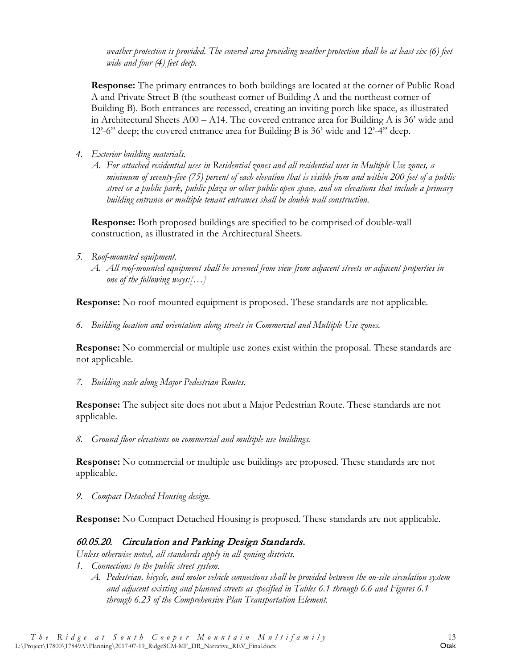*weather protection is provided. The covered area providing weather protection shall be at least six (6) feet wide and four (4) feet deep.*

**Response:** The primary entrances to both buildings are located at the corner of Public Road A and Private Street B (the southeast corner of Building A and the northeast corner of Building B). Both entrances are recessed, creating an inviting porch-like space, as illustrated in Architectural Sheets A00 – A14. The covered entrance area for Building A is 36' wide and 12'-6" deep; the covered entrance area for Building B is 36' wide and 12'-4" deep.

- *4. Exterior building materials.*
	- *A. For attached residential uses in Residential zones and all residential uses in Multiple Use zones, a minimum of seventy-five (75) percent of each elevation that is visible from and within 200 feet of a public street or a public park, public plaza or other public open space, and on elevations that include a primary building entrance or multiple tenant entrances shall be double wall construction.*

**Response:** Both proposed buildings are specified to be comprised of double-wall construction, as illustrated in the Architectural Sheets.

- *5. Roof-mounted equipment.* 
	- *A. All roof-mounted equipment shall be screened from view from adjacent streets or adjacent properties in one of the following ways:[…]*

**Response:** No roof-mounted equipment is proposed. These standards are not applicable.

*6. Building location and orientation along streets in Commercial and Multiple Use zones.*

**Response:** No commercial or multiple use zones exist within the proposal. These standards are not applicable.

*7. Building scale along Major Pedestrian Routes.* 

**Response:** The subject site does not abut a Major Pedestrian Route. These standards are not applicable.

*8. Ground floor elevations on commercial and multiple use buildings.*

**Response:** No commercial or multiple use buildings are proposed. These standards are not applicable.

*9. Compact Detached Housing design.* 

**Response:** No Compact Detached Housing is proposed. These standards are not applicable.

#### 60.05.20. Circulation and Parking Design Standards.

*Unless otherwise noted, all standards apply in all zoning districts.*

- *1. Connections to the public street system.*
	- *A. Pedestrian, bicycle, and motor vehicle connections shall be provided between the on-site circulation system and adjacent existing and planned streets as specified in Tables 6.1 through 6.6 and Figures 6.1 through 6.23 of the Comprehensive Plan Transportation Element.*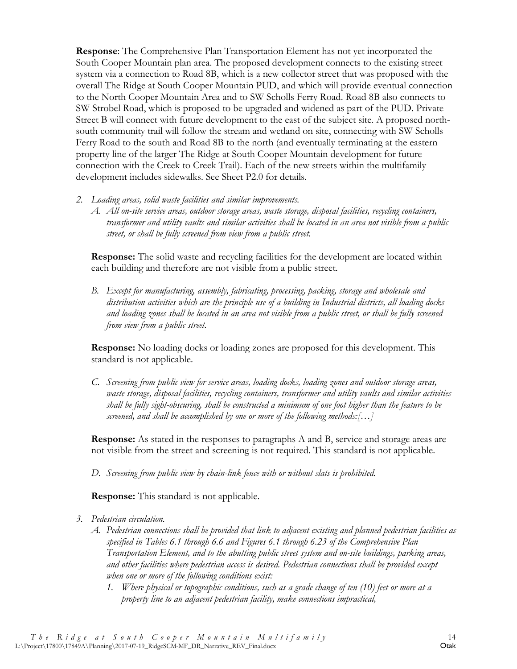**Response**: The Comprehensive Plan Transportation Element has not yet incorporated the South Cooper Mountain plan area. The proposed development connects to the existing street system via a connection to Road 8B, which is a new collector street that was proposed with the overall The Ridge at South Cooper Mountain PUD, and which will provide eventual connection to the North Cooper Mountain Area and to SW Scholls Ferry Road. Road 8B also connects to SW Strobel Road, which is proposed to be upgraded and widened as part of the PUD. Private Street B will connect with future development to the east of the subject site. A proposed northsouth community trail will follow the stream and wetland on site, connecting with SW Scholls Ferry Road to the south and Road 8B to the north (and eventually terminating at the eastern property line of the larger The Ridge at South Cooper Mountain development for future connection with the Creek to Creek Trail). Each of the new streets within the multifamily development includes sidewalks. See Sheet P2.0 for details.

- *2. Loading areas, solid waste facilities and similar improvements.* 
	- *A. All on-site service areas, outdoor storage areas, waste storage, disposal facilities, recycling containers, transformer and utility vaults and similar activities shall be located in an area not visible from a public street, or shall be fully screened from view from a public street.*

**Response:** The solid waste and recycling facilities for the development are located within each building and therefore are not visible from a public street.

*B. Except for manufacturing, assembly, fabricating, processing, packing, storage and wholesale and distribution activities which are the principle use of a building in Industrial districts, all loading docks and loading zones shall be located in an area not visible from a public street, or shall be fully screened from view from a public street.*

**Response:** No loading docks or loading zones are proposed for this development. This standard is not applicable.

*C. Screening from public view for service areas, loading docks, loading zones and outdoor storage areas, waste storage, disposal facilities, recycling containers, transformer and utility vaults and similar activities shall be fully sight-obscuring, shall be constructed a minimum of one foot higher than the feature to be screened, and shall be accomplished by one or more of the following methods:[…]*

**Response:** As stated in the responses to paragraphs A and B, service and storage areas are not visible from the street and screening is not required. This standard is not applicable.

*D. Screening from public view by chain-link fence with or without slats is prohibited.*

**Response:** This standard is not applicable.

- *3. Pedestrian circulation.*
	- *A. Pedestrian connections shall be provided that link to adjacent existing and planned pedestrian facilities as specified in Tables 6.1 through 6.6 and Figures 6.1 through 6.23 of the Comprehensive Plan Transportation Element, and to the abutting public street system and on-site buildings, parking areas, and other facilities where pedestrian access is desired. Pedestrian connections shall be provided except when one or more of the following conditions exist:* 
		- *1. Where physical or topographic conditions, such as a grade change of ten (10) feet or more at a property line to an adjacent pedestrian facility, make connections impractical,*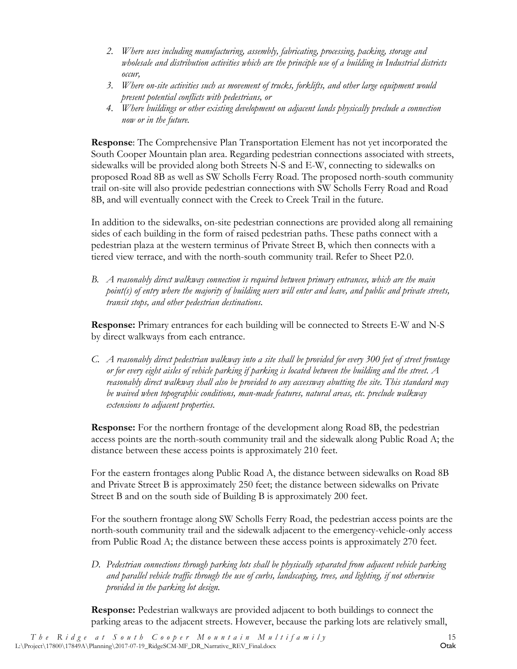- *2. Where uses including manufacturing, assembly, fabricating, processing, packing, storage and wholesale and distribution activities which are the principle use of a building in Industrial districts occur,*
- *3. Where on-site activities such as movement of trucks, forklifts, and other large equipment would present potential conflicts with pedestrians, or*
- *4. Where buildings or other existing development on adjacent lands physically preclude a connection now or in the future.*

**Response**: The Comprehensive Plan Transportation Element has not yet incorporated the South Cooper Mountain plan area. Regarding pedestrian connections associated with streets, sidewalks will be provided along both Streets N-S and E-W, connecting to sidewalks on proposed Road 8B as well as SW Scholls Ferry Road. The proposed north-south community trail on-site will also provide pedestrian connections with SW Scholls Ferry Road and Road 8B, and will eventually connect with the Creek to Creek Trail in the future.

In addition to the sidewalks, on-site pedestrian connections are provided along all remaining sides of each building in the form of raised pedestrian paths. These paths connect with a pedestrian plaza at the western terminus of Private Street B, which then connects with a tiered view terrace, and with the north-south community trail. Refer to Sheet P2.0.

*B. A reasonably direct walkway connection is required between primary entrances, which are the main point(s) of entry where the majority of building users will enter and leave, and public and private streets, transit stops, and other pedestrian destinations.*

**Response:** Primary entrances for each building will be connected to Streets E-W and N-S by direct walkways from each entrance.

*C. A reasonably direct pedestrian walkway into a site shall be provided for every 300 feet of street frontage or for every eight aisles of vehicle parking if parking is located between the building and the street. A reasonably direct walkway shall also be provided to any accessway abutting the site. This standard may be waived when topographic conditions, man-made features, natural areas, etc. preclude walkway extensions to adjacent properties.*

**Response:** For the northern frontage of the development along Road 8B, the pedestrian access points are the north-south community trail and the sidewalk along Public Road A; the distance between these access points is approximately 210 feet.

For the eastern frontages along Public Road A, the distance between sidewalks on Road 8B and Private Street B is approximately 250 feet; the distance between sidewalks on Private Street B and on the south side of Building B is approximately 200 feet.

For the southern frontage along SW Scholls Ferry Road, the pedestrian access points are the north-south community trail and the sidewalk adjacent to the emergency-vehicle-only access from Public Road A; the distance between these access points is approximately 270 feet.

*D. Pedestrian connections through parking lots shall be physically separated from adjacent vehicle parking and parallel vehicle traffic through the use of curbs, landscaping, trees, and lighting, if not otherwise provided in the parking lot design.*

**Response:** Pedestrian walkways are provided adjacent to both buildings to connect the parking areas to the adjacent streets. However, because the parking lots are relatively small,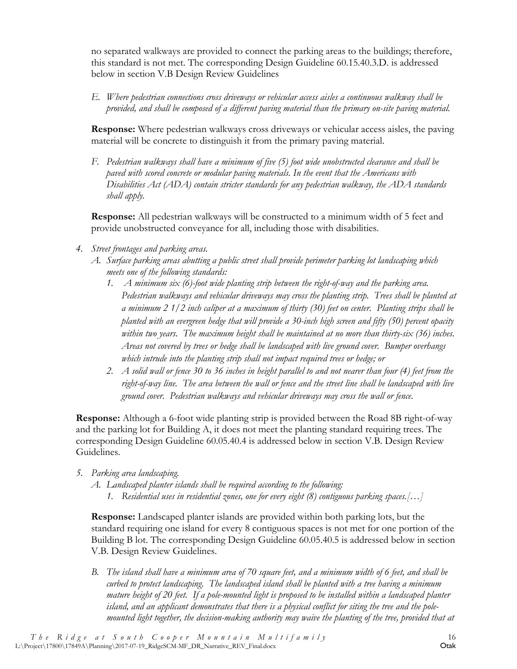no separated walkways are provided to connect the parking areas to the buildings; therefore, this standard is not met. The corresponding Design Guideline 60.15.40.3.D. is addressed below in section V.B Design Review Guidelines

*E. Where pedestrian connections cross driveways or vehicular access aisles a continuous walkway shall be provided, and shall be composed of a different paving material than the primary on-site paving material.*

**Response:** Where pedestrian walkways cross driveways or vehicular access aisles, the paving material will be concrete to distinguish it from the primary paving material.

*F. Pedestrian walkways shall have a minimum of five (5) foot wide unobstructed clearance and shall be paved with scored concrete or modular paving materials. In the event that the Americans with Disabilities Act (ADA) contain stricter standards for any pedestrian walkway, the ADA standards shall apply.* 

**Response:** All pedestrian walkways will be constructed to a minimum width of 5 feet and provide unobstructed conveyance for all, including those with disabilities.

- *4. Street frontages and parking areas.*
	- *A. Surface parking areas abutting a public street shall provide perimeter parking lot landscaping which meets one of the following standards:*
		- *1. A minimum six (6)-foot wide planting strip between the right-of-way and the parking area. Pedestrian walkways and vehicular driveways may cross the planting strip. Trees shall be planted at a minimum 2 1/2 inch caliper at a maximum of thirty (30) feet on center. Planting strips shall be planted with an evergreen hedge that will provide a 30-inch high screen and fifty (50) percent opacity within two years. The maximum height shall be maintained at no more than thirty-six (36) inches. Areas not covered by trees or hedge shall be landscaped with live ground cover. Bumper overhangs which intrude into the planting strip shall not impact required trees or hedge; or*
		- *2. A solid wall or fence 30 to 36 inches in height parallel to and not nearer than four (4) feet from the*  right-of-way line. The area between the wall or fence and the street line shall be landscaped with live *ground cover. Pedestrian walkways and vehicular driveways may cross the wall or fence.*

**Response:** Although a 6-foot wide planting strip is provided between the Road 8B right-of-way and the parking lot for Building A, it does not meet the planting standard requiring trees. The corresponding Design Guideline 60.05.40.4 is addressed below in section V.B. Design Review Guidelines.

- *5. Parking area landscaping.*
	- *A. Landscaped planter islands shall be required according to the following: 1. Residential uses in residential zones, one for every eight (8) contiguous parking spaces.[…]*

**Response:** Landscaped planter islands are provided within both parking lots, but the standard requiring one island for every 8 contiguous spaces is not met for one portion of the Building B lot. The corresponding Design Guideline 60.05.40.5 is addressed below in section V.B. Design Review Guidelines.

*B. The island shall have a minimum area of 70 square feet, and a minimum width of 6 feet, and shall be curbed to protect landscaping. The landscaped island shall be planted with a tree having a minimum mature height of 20 feet. If a pole-mounted light is proposed to be installed within a landscaped planter island, and an applicant demonstrates that there is a physical conflict for siting the tree and the polemounted light together, the decision-making authority may waive the planting of the tree, provided that at*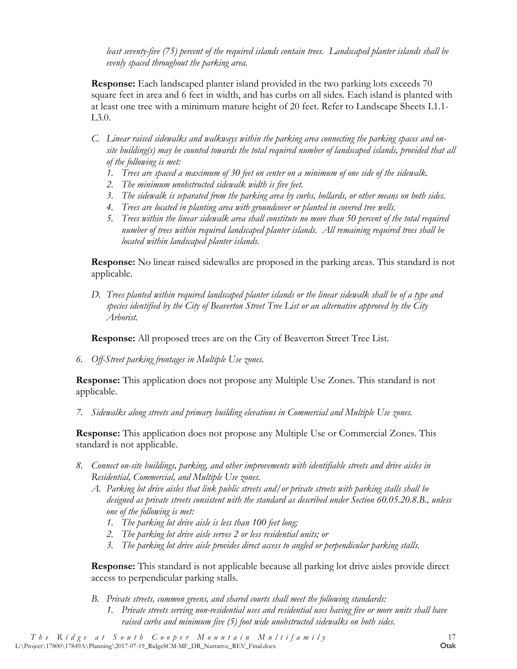*least seventy-five (75) percent of the required islands contain trees. Landscaped planter islands shall be evenly spaced throughout the parking area.*

**Response:** Each landscaped planter island provided in the two parking lots exceeds 70 square feet in area and 6 feet in width, and has curbs on all sides. Each island is planted with at least one tree with a minimum mature height of 20 feet. Refer to Landscape Sheets L1.1- L3.0.

- *C. Linear raised sidewalks and walkways within the parking area connecting the parking spaces and onsite building(s) may be counted towards the total required number of landscaped islands, provided that all of the following is met:*
	- *1. Trees are spaced a maximum of 30 feet on center on a minimum of one side of the sidewalk.*
	- *2. The minimum unobstructed sidewalk width is five feet.*
	- *3. The sidewalk is separated from the parking area by curbs, bollards, or other means on both sides.*
	- *4. Trees are located in planting area with groundcover or planted in covered tree wells.*
	- *5. Trees within the linear sidewalk area shall constitute no more than 50 percent of the total required number of trees within required landscaped planter islands. All remaining required trees shall be located within landscaped planter islands.*

**Response:** No linear raised sidewalks are proposed in the parking areas. This standard is not applicable.

*D. Trees planted within required landscaped planter islands or the linear sidewalk shall be of a type and species identified by the City of Beaverton Street Tree List or an alternative approved by the City Arborist.*

**Response:** All proposed trees are on the City of Beaverton Street Tree List.

*6. Off-Street parking frontages in Multiple Use zones.* 

**Response:** This application does not propose any Multiple Use Zones. This standard is not applicable.

*7. Sidewalks along streets and primary building elevations in Commercial and Multiple Use zones.* 

**Response:** This application does not propose any Multiple Use or Commercial Zones. This standard is not applicable.

- *8. Connect on-site buildings, parking, and other improvements with identifiable streets and drive aisles in Residential, Commercial, and Multiple Use zones.* 
	- *A. Parking lot drive aisles that link public streets and/or private streets with parking stalls shall be designed as private streets consistent with the standard as described under Section 60.05.20.8.B., unless one of the following is met:*
		- *1. The parking lot drive aisle is less than 100 feet long;*
		- *2. The parking lot drive aisle serves 2 or less residential units; or*
		- *3. The parking lot drive aisle provides direct access to angled or perpendicular parking stalls.*

**Response:** This standard is not applicable because all parking lot drive aisles provide direct access to perpendicular parking stalls.

*B. Private streets, common greens, and shared courts shall meet the following standards: 1. Private streets serving non-residential uses and residential uses having five or more units shall have raised curbs and minimum five (5) foot wide unobstructed sidewalks on both sides.*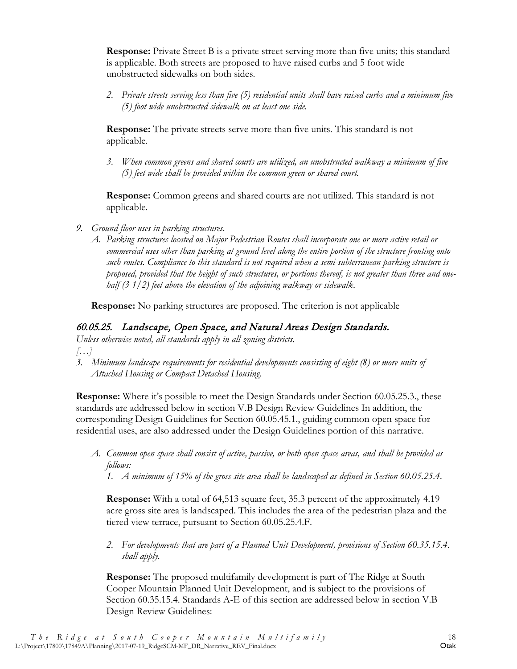**Response:** Private Street B is a private street serving more than five units; this standard is applicable. Both streets are proposed to have raised curbs and 5 foot wide unobstructed sidewalks on both sides.

*2. Private streets serving less than five (5) residential units shall have raised curbs and a minimum five (5) foot wide unobstructed sidewalk on at least one side.*

**Response:** The private streets serve more than five units. This standard is not applicable.

*3. When common greens and shared courts are utilized, an unobstructed walkway a minimum of five (5) feet wide shall be provided within the common green or shared court.* 

**Response:** Common greens and shared courts are not utilized. This standard is not applicable.

- *9. Ground floor uses in parking structures.*
	- *A. Parking structures located on Major Pedestrian Routes shall incorporate one or more active retail or commercial uses other than parking at ground level along the entire portion of the structure fronting onto such routes. Compliance to this standard is not required when a semi-subterranean parking structure is proposed, provided that the height of such structures, or portions thereof, is not greater than three and onehalf (3 1/2) feet above the elevation of the adjoining walkway or sidewalk.*

**Response:** No parking structures are proposed. The criterion is not applicable

#### 60.05.25. Landscape, Open Space, and Natural Areas Design Standards.

*Unless otherwise noted, all standards apply in all zoning districts.*

- *[…]*
- *3. Minimum landscape requirements for residential developments consisting of eight (8) or more units of Attached Housing or Compact Detached Housing.*

**Response:** Where it's possible to meet the Design Standards under Section 60.05.25.3., these standards are addressed below in section V.B Design Review Guidelines In addition, the corresponding Design Guidelines for Section 60.05.45.1., guiding common open space for residential uses, are also addressed under the Design Guidelines portion of this narrative.

- *A. Common open space shall consist of active, passive, or both open space areas, and shall be provided as follows:*
	- *1. A minimum of 15% of the gross site area shall be landscaped as defined in Section 60.05.25.4.*

**Response:** With a total of 64,513 square feet, 35.3 percent of the approximately 4.19 acre gross site area is landscaped. This includes the area of the pedestrian plaza and the tiered view terrace, pursuant to Section 60.05.25.4.F.

*2. For developments that are part of a Planned Unit Development, provisions of Section 60.35.15.4. shall apply.* 

**Response:** The proposed multifamily development is part of The Ridge at South Cooper Mountain Planned Unit Development, and is subject to the provisions of Section 60.35.15.4. Standards A-E of this section are addressed below in section V.B Design Review Guidelines: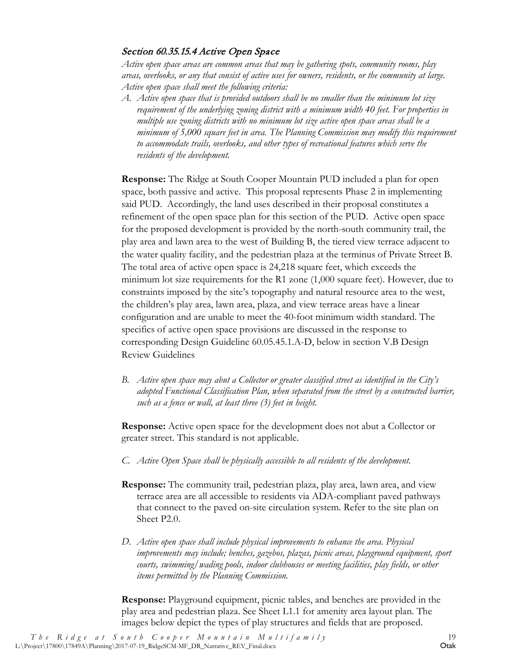#### Section 60.35.15.4 Active Open Space

*Active open space areas are common areas that may be gathering spots, community rooms, play areas, overlooks, or any that consist of active uses for owners, residents, or the community at large. Active open space shall meet the following criteria:*

*A. Active open space that is provided outdoors shall be no smaller than the minimum lot size requirement of the underlying zoning district with a minimum width 40 feet. For properties in multiple use zoning districts with no minimum lot size active open space areas shall be a minimum of 5,000 square feet in area. The Planning Commission may modify this requirement to accommodate trails, overlooks, and other types of recreational features which serve the residents of the development.* 

**Response:** The Ridge at South Cooper Mountain PUD included a plan for open space, both passive and active. This proposal represents Phase 2 in implementing said PUD. Accordingly, the land uses described in their proposal constitutes a refinement of the open space plan for this section of the PUD. Active open space for the proposed development is provided by the north-south community trail, the play area and lawn area to the west of Building B, the tiered view terrace adjacent to the water quality facility, and the pedestrian plaza at the terminus of Private Street B. The total area of active open space is 24,218 square feet, which exceeds the minimum lot size requirements for the R1 zone (1,000 square feet). However, due to constraints imposed by the site's topography and natural resource area to the west, the children's play area, lawn area, plaza, and view terrace areas have a linear configuration and are unable to meet the 40-foot minimum width standard. The specifics of active open space provisions are discussed in the response to corresponding Design Guideline 60.05.45.1.A-D, below in section V.B Design Review Guidelines

*B. Active open space may abut a Collector or greater classified street as identified in the City's adopted Functional Classification Plan, when separated from the street by a constructed barrier, such as a fence or wall, at least three (3) feet in height.*

**Response:** Active open space for the development does not abut a Collector or greater street. This standard is not applicable.

- *C. Active Open Space shall be physically accessible to all residents of the development.*
- **Response:** The community trail, pedestrian plaza, play area, lawn area, and view terrace area are all accessible to residents via ADA-compliant paved pathways that connect to the paved on-site circulation system. Refer to the site plan on Sheet P2.0.
- *D. Active open space shall include physical improvements to enhance the area. Physical improvements may include; benches, gazebos, plazas, picnic areas, playground equipment, sport courts, swimming/wading pools, indoor clubhouses or meeting facilities, play fields, or other items permitted by the Planning Commission.*

**Response:** Playground equipment, picnic tables, and benches are provided in the play area and pedestrian plaza. See Sheet L1.1 for amenity area layout plan. The images below depict the types of play structures and fields that are proposed.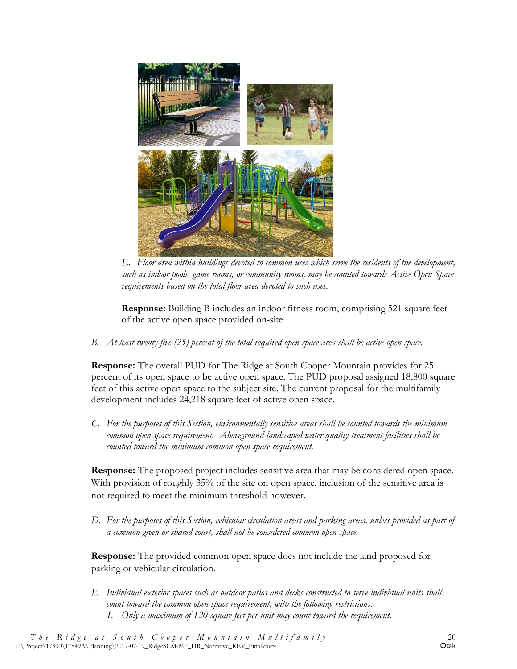

*E. Floor area within buildings devoted to common uses which serve the residents of the development, such as indoor pools, game rooms, or community rooms, may be counted towards Active Open Space requirements based on the total floor area devoted to such uses.*

**Response:** Building B includes an indoor fitness room, comprising 521 square feet of the active open space provided on-site.

*B. At least twenty-five (25) percent of the total required open space area shall be active open space.* 

**Response:** The overall PUD for The Ridge at South Cooper Mountain provides for 25 percent of its open space to be active open space. The PUD proposal assigned 18,800 square feet of this active open space to the subject site. The current proposal for the multifamily development includes 24,218 square feet of active open space.

*C. For the purposes of this Section, environmentally sensitive areas shall be counted towards the minimum common open space requirement. Aboveground landscaped water quality treatment facilities shall be counted toward the minimum common open space requirement.*

**Response:** The proposed project includes sensitive area that may be considered open space. With provision of roughly 35% of the site on open space, inclusion of the sensitive area is not required to meet the minimum threshold however.

*D. For the purposes of this Section, vehicular circulation areas and parking areas, unless provided as part of a common green or shared court, shall not be considered common open space.*

**Response:** The provided common open space does not include the land proposed for parking or vehicular circulation.

*E. Individual exterior spaces such as outdoor patios and decks constructed to serve individual units shall count toward the common open space requirement, with the following restrictions: 1. Only a maximum of 120 square feet per unit may count toward the requirement.*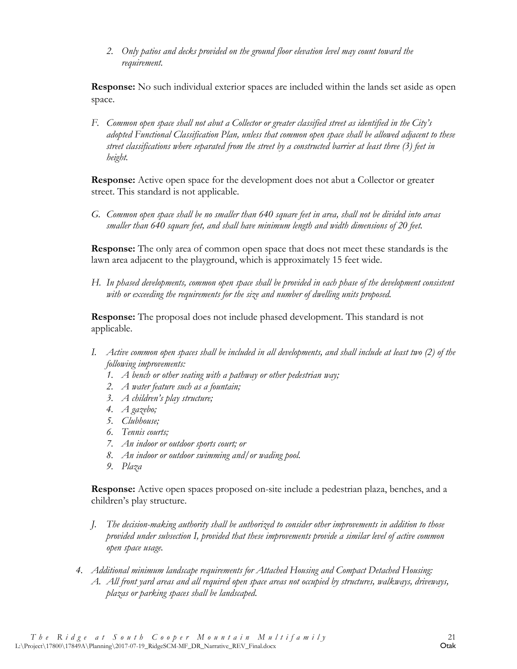*2. Only patios and decks provided on the ground floor elevation level may count toward the requirement.* 

**Response:** No such individual exterior spaces are included within the lands set aside as open space.

*F. Common open space shall not abut a Collector or greater classified street as identified in the City's adopted Functional Classification Plan, unless that common open space shall be allowed adjacent to these street classifications where separated from the street by a constructed barrier at least three (3) feet in height.*

**Response:** Active open space for the development does not abut a Collector or greater street. This standard is not applicable.

*G. Common open space shall be no smaller than 640 square feet in area, shall not be divided into areas smaller than 640 square feet, and shall have minimum length and width dimensions of 20 feet.* 

**Response:** The only area of common open space that does not meet these standards is the lawn area adjacent to the playground, which is approximately 15 feet wide.

*H. In phased developments, common open space shall be provided in each phase of the development consistent with or exceeding the requirements for the size and number of dwelling units proposed.*

**Response:** The proposal does not include phased development. This standard is not applicable.

- *I. Active common open spaces shall be included in all developments, and shall include at least two (2) of the following improvements:*
	- *1. A bench or other seating with a pathway or other pedestrian way;*
	- *2. A water feature such as a fountain;*
	- *3. A children's play structure;*
	- *4. A gazebo;*
	- *5. Clubhouse;*
	- *6. Tennis courts;*
	- *7. An indoor or outdoor sports court; or*
	- *8. An indoor or outdoor swimming and/or wading pool.*
	- *9. Plaza*

**Response:** Active open spaces proposed on-site include a pedestrian plaza, benches, and a children's play structure.

- *J. The decision-making authority shall be authorized to consider other improvements in addition to those provided under subsection I, provided that these improvements provide a similar level of active common open space usage.*
- *4. Additional minimum landscape requirements for Attached Housing and Compact Detached Housing: A. All front yard areas and all required open space areas not occupied by structures, walkways, driveways, plazas or parking spaces shall be landscaped.*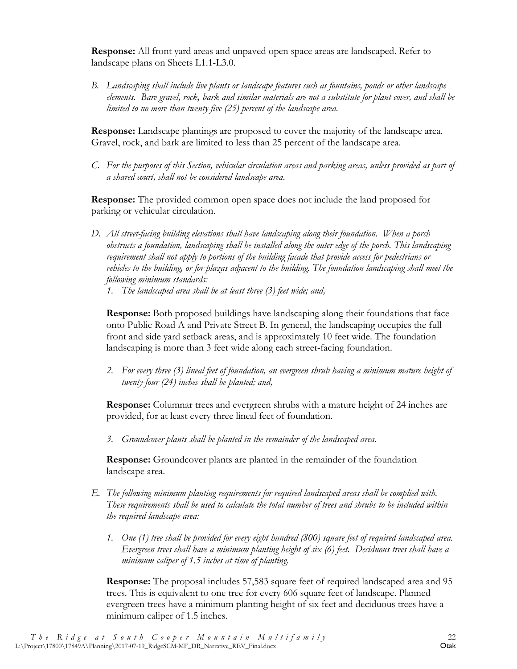**Response:** All front yard areas and unpaved open space areas are landscaped. Refer to landscape plans on Sheets L1.1-L3.0.

*B. Landscaping shall include live plants or landscape features such as fountains, ponds or other landscape elements. Bare gravel, rock, bark and similar materials are not a substitute for plant cover, and shall be limited to no more than twenty-five (25) percent of the landscape area.*

**Response:** Landscape plantings are proposed to cover the majority of the landscape area. Gravel, rock, and bark are limited to less than 25 percent of the landscape area.

*C. For the purposes of this Section, vehicular circulation areas and parking areas, unless provided as part of a shared court, shall not be considered landscape area.* 

**Response:** The provided common open space does not include the land proposed for parking or vehicular circulation.

- *D. All street-facing building elevations shall have landscaping along their foundation. When a porch obstructs a foundation, landscaping shall be installed along the outer edge of the porch. This landscaping requirement shall not apply to portions of the building facade that provide access for pedestrians or vehicles to the building, or for plazas adjacent to the building. The foundation landscaping shall meet the following minimum standards:*
	- *1. The landscaped area shall be at least three (3) feet wide; and,*

**Response:** Both proposed buildings have landscaping along their foundations that face onto Public Road A and Private Street B. In general, the landscaping occupies the full front and side yard setback areas, and is approximately 10 feet wide. The foundation landscaping is more than 3 feet wide along each street-facing foundation.

*2. For every three (3) lineal feet of foundation, an evergreen shrub having a minimum mature height of twenty-four (24) inches shall be planted; and,*

**Response:** Columnar trees and evergreen shrubs with a mature height of 24 inches are provided, for at least every three lineal feet of foundation.

*3. Groundcover plants shall be planted in the remainder of the landscaped area.*

**Response:** Groundcover plants are planted in the remainder of the foundation landscape area.

- *E. The following minimum planting requirements for required landscaped areas shall be complied with. These requirements shall be used to calculate the total number of trees and shrubs to be included within the required landscape area:*
	- *1. One (1) tree shall be provided for every eight hundred (800) square feet of required landscaped area. Evergreen trees shall have a minimum planting height of six (6) feet. Deciduous trees shall have a minimum caliper of 1.5 inches at time of planting.*

**Response:** The proposal includes 57,583 square feet of required landscaped area and 95 trees. This is equivalent to one tree for every 606 square feet of landscape. Planned evergreen trees have a minimum planting height of six feet and deciduous trees have a minimum caliper of 1.5 inches.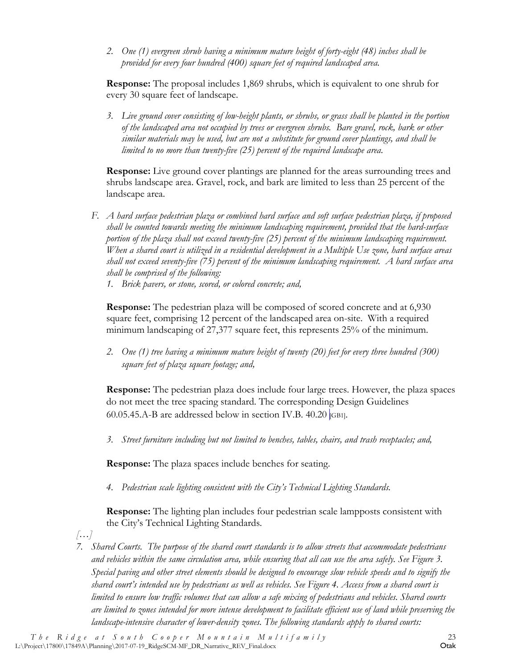*2. One (1) evergreen shrub having a minimum mature height of forty-eight (48) inches shall be provided for every four hundred (400) square feet of required landscaped area.*

**Response:** The proposal includes 1,869 shrubs, which is equivalent to one shrub for every 30 square feet of landscape.

*3. Live ground cover consisting of low-height plants, or shrubs, or grass shall be planted in the portion of the landscaped area not occupied by trees or evergreen shrubs. Bare gravel, rock, bark or other similar materials may be used, but are not a substitute for ground cover plantings, and shall be limited to no more than twenty-five (25) percent of the required landscape area.*

**Response:** Live ground cover plantings are planned for the areas surrounding trees and shrubs landscape area. Gravel, rock, and bark are limited to less than 25 percent of the landscape area.

- *F. A hard surface pedestrian plaza or combined hard surface and soft surface pedestrian plaza, if proposed shall be counted towards meeting the minimum landscaping requirement, provided that the hard-surface portion of the plaza shall not exceed twenty-five (25) percent of the minimum landscaping requirement. When a shared court is utilized in a residential development in a Multiple Use zone, hard surface areas shall not exceed seventy-five (75) percent of the minimum landscaping requirement. A hard surface area shall be comprised of the following:* 
	- *1. Brick pavers, or stone, scored, or colored concrete; and,*

**Response:** The pedestrian plaza will be composed of scored concrete and at 6,930 square feet, comprising 12 percent of the landscaped area on-site. With a required minimum landscaping of 27,377 square feet, this represents 25% of the minimum.

*2. One (1) tree having a minimum mature height of twenty (20) feet for every three hundred (300) square feet of plaza square footage; and,*

**Response:** The pedestrian plaza does include four large trees. However, the plaza spaces do not meet the tree spacing standard. The corresponding Design Guidelines 60.05.45.A-B are addressed below in section IV.B. 40.20  $|GB1|$ .

*3. Street furniture including but not limited to benches, tables, chairs, and trash receptacles; and,*

**Response:** The plaza spaces include benches for seating.

*4. Pedestrian scale lighting consistent with the City's Technical Lighting Standards.*

**Response:** The lighting plan includes four pedestrian scale lampposts consistent with the City's Technical Lighting Standards.

*[…]*

*7. Shared Courts. The purpose of the shared court standards is to allow streets that accommodate pedestrians and vehicles within the same circulation area, while ensuring that all can use the area safely. See Figure 3. Special paving and other street elements should be designed to encourage slow vehicle speeds and to signify the shared court's intended use by pedestrians as well as vehicles. See Figure 4. Access from a shared court is limited to ensure low traffic volumes that can allow a safe mixing of pedestrians and vehicles. Shared courts are limited to zones intended for more intense development to facilitate efficient use of land while preserving the landscape-intensive character of lower-density zones. The following standards apply to shared courts:*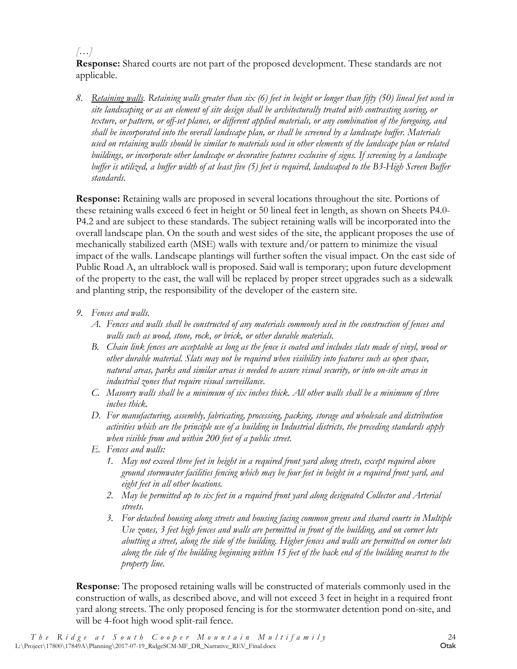#### *[…]*

**Response:** Shared courts are not part of the proposed development. These standards are not applicable.

*8. Retaining walls. Retaining walls greater than six (6) feet in height or longer than fifty (50) lineal feet used in site landscaping or as an element of site design shall be architecturally treated with contrasting scoring, or texture, or pattern, or off-set planes, or different applied materials, or any combination of the foregoing, and shall be incorporated into the overall landscape plan, or shall be screened by a landscape buffer. Materials used on retaining walls should be similar to materials used in other elements of the landscape plan or related buildings, or incorporate other landscape or decorative features exclusive of signs. If screening by a landscape buffer is utilized, a buffer width of at least five (5) feet is required, landscaped to the B3-High Screen Buffer standards.*

**Response:** Retaining walls are proposed in several locations throughout the site. Portions of these retaining walls exceed 6 feet in height or 50 lineal feet in length, as shown on Sheets P4.0- P4.2 and are subject to these standards. The subject retaining walls will be incorporated into the overall landscape plan. On the south and west sides of the site, the applicant proposes the use of mechanically stabilized earth (MSE) walls with texture and/or pattern to minimize the visual impact of the walls. Landscape plantings will further soften the visual impact. On the east side of Public Road A, an ultrablock wall is proposed. Said wall is temporary; upon future development of the property to the east, the wall will be replaced by proper street upgrades such as a sidewalk and planting strip, the responsibility of the developer of the eastern site.

- *9. Fences and walls.* 
	- *A. Fences and walls shall be constructed of any materials commonly used in the construction of fences and walls such as wood, stone, rock, or brick, or other durable materials.*
	- *B. Chain link fences are acceptable as long as the fence is coated and includes slats made of vinyl, wood or other durable material. Slats may not be required when visibility into features such as open space, natural areas, parks and similar areas is needed to assure visual security, or into on-site areas in industrial zones that require visual surveillance.*
	- *C. Masonry walls shall be a minimum of six inches thick. All other walls shall be a minimum of three inches thick.*
	- *D. For manufacturing, assembly, fabricating, processing, packing, storage and wholesale and distribution activities which are the principle use of a building in Industrial districts, the preceding standards apply when visible from and within 200 feet of a public street.*
	- *E. Fences and walls:*
		- *1. May not exceed three feet in height in a required front yard along streets, except required above ground stormwater facilities fencing which may be four feet in height in a required front yard, and eight feet in all other locations.*
		- *2. May be permitted up to six feet in a required front yard along designated Collector and Arterial streets.*
		- *3. For detached housing along streets and housing facing common greens and shared courts in Multiple Use zones, 3 feet high fences and walls are permitted in front of the building, and on corner lots abutting a street, along the side of the building. Higher fences and walls are permitted on corner lots along the side of the building beginning within 15 feet of the back end of the building nearest to the property line.*

**Response**: The proposed retaining walls will be constructed of materials commonly used in the construction of walls, as described above, and will not exceed 3 feet in height in a required front yard along streets. The only proposed fencing is for the stormwater detention pond on-site, and will be 4-foot high wood split-rail fence.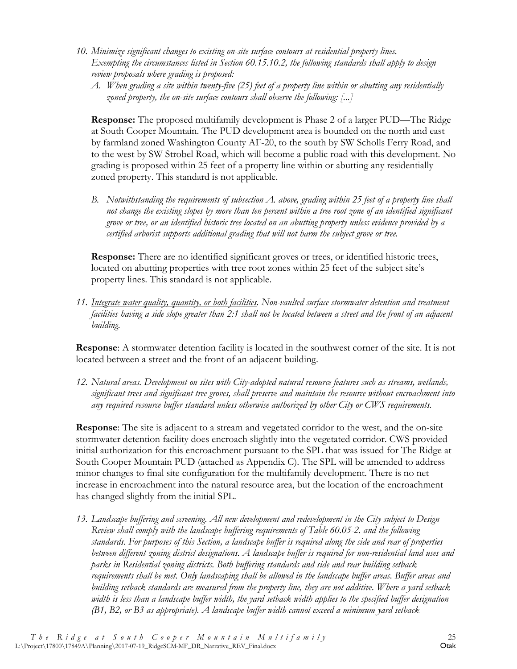- *10. Minimize significant changes to existing on-site surface contours at residential property lines. Exempting the circumstances listed in Section 60.15.10.2, the following standards shall apply to design review proposals where grading is proposed:*
	- *A. When grading a site within twenty-five (25) feet of a property line within or abutting any residentially zoned property, the on-site surface contours shall observe the following: [...]*

**Response:** The proposed multifamily development is Phase 2 of a larger PUD—The Ridge at South Cooper Mountain. The PUD development area is bounded on the north and east by farmland zoned Washington County AF-20, to the south by SW Scholls Ferry Road, and to the west by SW Strobel Road, which will become a public road with this development. No grading is proposed within 25 feet of a property line within or abutting any residentially zoned property. This standard is not applicable.

*B. Notwithstanding the requirements of subsection A. above, grading within 25 feet of a property line shall not change the existing slopes by more than ten percent within a tree root zone of an identified significant grove or tree, or an identified historic tree located on an abutting property unless evidence provided by a certified arborist supports additional grading that will not harm the subject grove or tree.*

**Response:** There are no identified significant groves or trees, or identified historic trees, located on abutting properties with tree root zones within 25 feet of the subject site's property lines. This standard is not applicable.

*11. Integrate water quality, quantity, or both facilities. Non-vaulted surface stormwater detention and treatment facilities having a side slope greater than 2:1 shall not be located between a street and the front of an adjacent building.*

**Response**: A stormwater detention facility is located in the southwest corner of the site. It is not located between a street and the front of an adjacent building.

*12. Natural areas. Development on sites with City-adopted natural resource features such as streams, wetlands, significant trees and significant tree groves, shall preserve and maintain the resource without encroachment into any required resource buffer standard unless otherwise authorized by other City or CWS requirements.* 

**Response**: The site is adjacent to a stream and vegetated corridor to the west, and the on-site stormwater detention facility does encroach slightly into the vegetated corridor. CWS provided initial authorization for this encroachment pursuant to the SPL that was issued for The Ridge at South Cooper Mountain PUD (attached as Appendix C). The SPL will be amended to address minor changes to final site configuration for the multifamily development. There is no net increase in encroachment into the natural resource area, but the location of the encroachment has changed slightly from the initial SPL.

*13. Landscape buffering and screening. All new development and redevelopment in the City subject to Design Review shall comply with the landscape buffering requirements of Table 60.05-2. and the following standards. For purposes of this Section, a landscape buffer is required along the side and rear of properties between different zoning district designations. A landscape buffer is required for non-residential land uses and parks in Residential zoning districts. Both buffering standards and side and rear building setback requirements shall be met. Only landscaping shall be allowed in the landscape buffer areas. Buffer areas and building setback standards are measured from the property line, they are not additive. Where a yard setback width is less than a landscape buffer width, the yard setback width applies to the specified buffer designation (B1, B2, or B3 as appropriate). A landscape buffer width cannot exceed a minimum yard setback*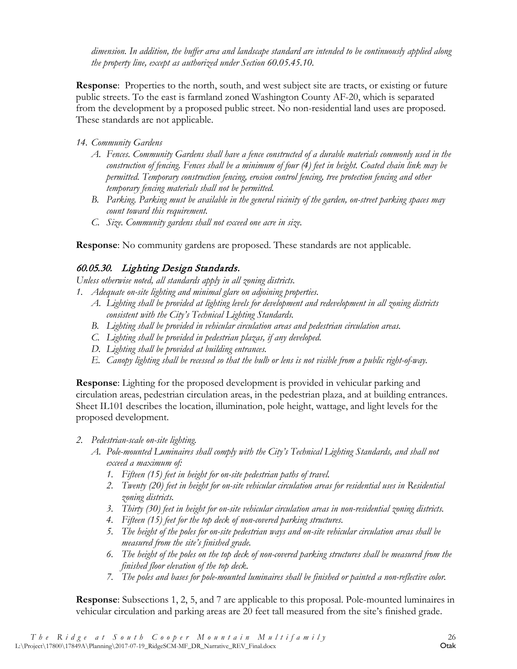*dimension. In addition, the buffer area and landscape standard are intended to be continuously applied along the property line, except as authorized under Section 60.05.45.10.*

**Response**: Properties to the north, south, and west subject site are tracts, or existing or future public streets. To the east is farmland zoned Washington County AF-20, which is separated from the development by a proposed public street. No non-residential land uses are proposed. These standards are not applicable.

#### *14. Community Gardens*

- *A. Fences. Community Gardens shall have a fence constructed of a durable materials commonly used in the construction of fencing. Fences shall be a minimum of four (4) feet in height. Coated chain link may be permitted. Temporary construction fencing, erosion control fencing, tree protection fencing and other temporary fencing materials shall not be permitted.*
- *B. Parking. Parking must be available in the general vicinity of the garden, on-street parking spaces may count toward this requirement.*
- *C. Size. Community gardens shall not exceed one acre in size.*

**Response**: No community gardens are proposed. These standards are not applicable.

#### 60.05.30. Lighting Design Standards.

*Unless otherwise noted, all standards apply in all zoning districts.*

- *1. Adequate on-site lighting and minimal glare on adjoining properties.* 
	- *A. Lighting shall be provided at lighting levels for development and redevelopment in all zoning districts consistent with the City's Technical Lighting Standards.*
	- *B. Lighting shall be provided in vehicular circulation areas and pedestrian circulation areas.*
	- *C. Lighting shall be provided in pedestrian plazas, if any developed.*
	- *D. Lighting shall be provided at building entrances.*
	- *E. Canopy lighting shall be recessed so that the bulb or lens is not visible from a public right-of-way.*

**Response**: Lighting for the proposed development is provided in vehicular parking and circulation areas, pedestrian circulation areas, in the pedestrian plaza, and at building entrances. Sheet IL101 describes the location, illumination, pole height, wattage, and light levels for the proposed development.

- *2. Pedestrian-scale on-site lighting.*
	- *A. Pole-mounted Luminaires shall comply with the City's Technical Lighting Standards, and shall not exceed a maximum of:*
		- *1. Fifteen (15) feet in height for on-site pedestrian paths of travel.*
		- *2. Twenty (20) feet in height for on-site vehicular circulation areas for residential uses in Residential zoning districts.*
		- *3. Thirty (30) feet in height for on-site vehicular circulation areas in non-residential zoning districts.*
		- *4. Fifteen (15) feet for the top deck of non-covered parking structures.*
		- *5. The height of the poles for on-site pedestrian ways and on-site vehicular circulation areas shall be measured from the site's finished grade.*
		- *6. The height of the poles on the top deck of non-covered parking structures shall be measured from the finished floor elevation of the top deck.*
		- *7. The poles and bases for pole-mounted luminaires shall be finished or painted a non-reflective color.*

**Response**: Subsections 1, 2, 5, and 7 are applicable to this proposal. Pole-mounted luminaires in vehicular circulation and parking areas are 20 feet tall measured from the site's finished grade.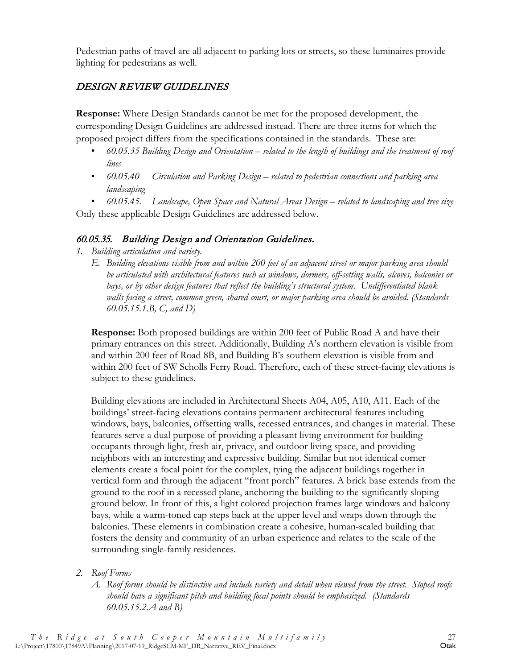Pedestrian paths of travel are all adjacent to parking lots or streets, so these luminaires provide lighting for pedestrians as well.

### <span id="page-31-0"></span>DESIGN REVIEW GUIDELINES

**Response:** Where Design Standards cannot be met for the proposed development, the corresponding Design Guidelines are addressed instead. There are three items for which the proposed project differs from the specifications contained in the standards. These are:

- *60.05.35 Building Design and Orientation – related to the length of buildings and the treatment of roof lines*
- *60.05.40 Circulation and Parking Design – related to pedestrian connections and parking area landscaping*

• *60.05.45. Landscape, Open Space and Natural Areas Design – related to landscaping and tree size* Only these applicable Design Guidelines are addressed below.

#### 60.05.35. Building Design and Orientation Guidelines.

- *1. Building articulation and variety.*
	- *E. Building elevations visible from and within 200 feet of an adjacent street or major parking area should be articulated with architectural features such as windows, dormers, off-setting walls, alcoves, balconies or*  bays, or by other design features that reflect the building's structural system. Undifferentiated blank *walls facing a street, common green, shared court, or major parking area should be avoided. (Standards 60.05.15.1.B, C, and D)*

**Response:** Both proposed buildings are within 200 feet of Public Road A and have their primary entrances on this street. Additionally, Building A's northern elevation is visible from and within 200 feet of Road 8B, and Building B's southern elevation is visible from and within 200 feet of SW Scholls Ferry Road. Therefore, each of these street-facing elevations is subject to these guidelines.

Building elevations are included in Architectural Sheets A04, A05, A10, A11. Each of the buildings' street-facing elevations contains permanent architectural features including windows, bays, balconies, offsetting walls, recessed entrances, and changes in material. These features serve a dual purpose of providing a pleasant living environment for building occupants through light, fresh air, privacy, and outdoor living space, and providing neighbors with an interesting and expressive building. Similar but not identical corner elements create a focal point for the complex, tying the adjacent buildings together in vertical form and through the adjacent "front porch" features. A brick base extends from the ground to the roof in a recessed plane, anchoring the building to the significantly sloping ground below. In front of this, a light colored projection frames large windows and balcony bays, while a warm-toned cap steps back at the upper level and wraps down through the balconies. These elements in combination create a cohesive, human-scaled building that fosters the density and community of an urban experience and relates to the scale of the surrounding single-family residences.

- *2. Roof Forms*
	- *A. Roof forms should be distinctive and include variety and detail when viewed from the street. Sloped roofs should have a significant pitch and building focal points should be emphasized. (Standards 60.05.15.2.A and B)*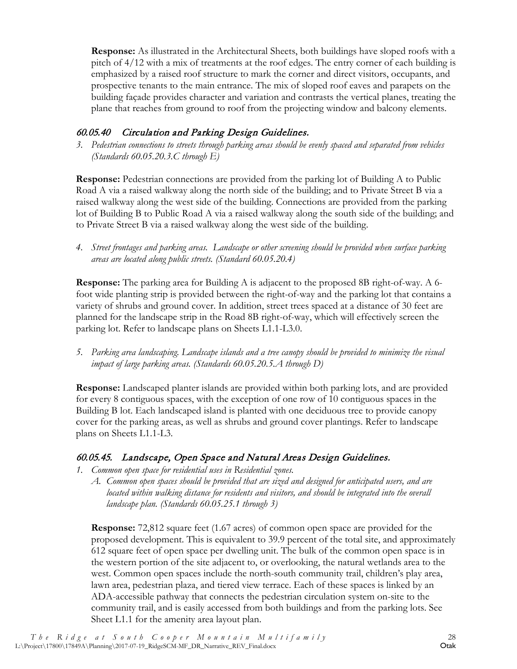**Response:** As illustrated in the Architectural Sheets, both buildings have sloped roofs with a pitch of 4/12 with a mix of treatments at the roof edges. The entry corner of each building is emphasized by a raised roof structure to mark the corner and direct visitors, occupants, and prospective tenants to the main entrance. The mix of sloped roof eaves and parapets on the building façade provides character and variation and contrasts the vertical planes, treating the plane that reaches from ground to roof from the projecting window and balcony elements.

#### 60.05.40 Circulation and Parking Design Guidelines.

*3. Pedestrian connections to streets through parking areas should be evenly spaced and separated from vehicles (Standards 60.05.20.3.C through E)*

**Response:** Pedestrian connections are provided from the parking lot of Building A to Public Road A via a raised walkway along the north side of the building; and to Private Street B via a raised walkway along the west side of the building. Connections are provided from the parking lot of Building B to Public Road A via a raised walkway along the south side of the building; and to Private Street B via a raised walkway along the west side of the building.

*4. Street frontages and parking areas. Landscape or other screening should be provided when surface parking areas are located along public streets. (Standard 60.05.20.4)*

**Response:** The parking area for Building A is adjacent to the proposed 8B right-of-way. A 6 foot wide planting strip is provided between the right-of-way and the parking lot that contains a variety of shrubs and ground cover. In addition, street trees spaced at a distance of 30 feet are planned for the landscape strip in the Road 8B right-of-way, which will effectively screen the parking lot. Refer to landscape plans on Sheets L1.1-L3.0.

*5. Parking area landscaping. Landscape islands and a tree canopy should be provided to minimize the visual impact of large parking areas. (Standards 60.05.20.5.A through D)*

**Response:** Landscaped planter islands are provided within both parking lots, and are provided for every 8 contiguous spaces, with the exception of one row of 10 contiguous spaces in the Building B lot. Each landscaped island is planted with one deciduous tree to provide canopy cover for the parking areas, as well as shrubs and ground cover plantings. Refer to landscape plans on Sheets L1.1-L3.

#### 60.05.45. Landscape, Open Space and Natural Areas Design Guidelines.

- *1. Common open space for residential uses in Residential zones.*
	- *A. Common open spaces should be provided that are sized and designed for anticipated users, and are located within walking distance for residents and visitors, and should be integrated into the overall landscape plan. (Standards 60.05.25.1 through 3)*

**Response:** 72,812 square feet (1.67 acres) of common open space are provided for the proposed development. This is equivalent to 39.9 percent of the total site, and approximately 612 square feet of open space per dwelling unit. The bulk of the common open space is in the western portion of the site adjacent to, or overlooking, the natural wetlands area to the west. Common open spaces include the north-south community trail, children's play area, lawn area, pedestrian plaza, and tiered view terrace. Each of these spaces is linked by an ADA-accessible pathway that connects the pedestrian circulation system on-site to the community trail, and is easily accessed from both buildings and from the parking lots. See Sheet L1.1 for the amenity area layout plan.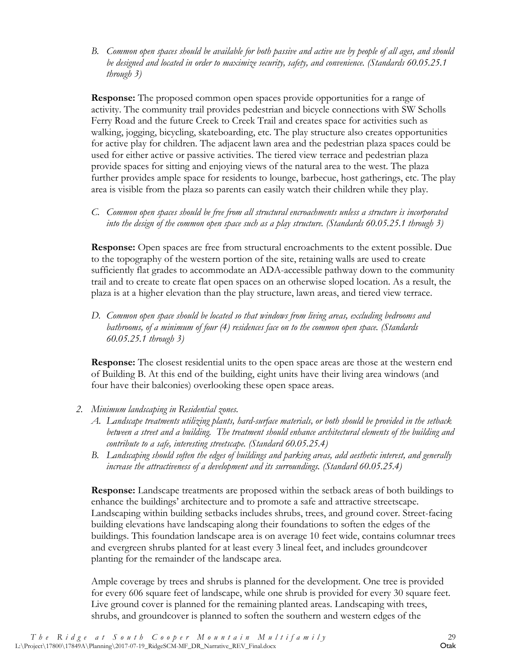*B. Common open spaces should be available for both passive and active use by people of all ages, and should be designed and located in order to maximize security, safety, and convenience. (Standards 60.05.25.1 through 3)*

**Response:** The proposed common open spaces provide opportunities for a range of activity. The community trail provides pedestrian and bicycle connections with SW Scholls Ferry Road and the future Creek to Creek Trail and creates space for activities such as walking, jogging, bicycling, skateboarding, etc. The play structure also creates opportunities for active play for children. The adjacent lawn area and the pedestrian plaza spaces could be used for either active or passive activities. The tiered view terrace and pedestrian plaza provide spaces for sitting and enjoying views of the natural area to the west. The plaza further provides ample space for residents to lounge, barbecue, host gatherings, etc. The play area is visible from the plaza so parents can easily watch their children while they play.

*C. Common open spaces should be free from all structural encroachments unless a structure is incorporated into the design of the common open space such as a play structure. (Standards 60.05.25.1 through 3)*

**Response:** Open spaces are free from structural encroachments to the extent possible. Due to the topography of the western portion of the site, retaining walls are used to create sufficiently flat grades to accommodate an ADA-accessible pathway down to the community trail and to create to create flat open spaces on an otherwise sloped location. As a result, the plaza is at a higher elevation than the play structure, lawn areas, and tiered view terrace.

*D. Common open space should be located so that windows from living areas, excluding bedrooms and bathrooms, of a minimum of four (4) residences face on to the common open space. (Standards 60.05.25.1 through 3)*

**Response:** The closest residential units to the open space areas are those at the western end of Building B. At this end of the building, eight units have their living area windows (and four have their balconies) overlooking these open space areas.

- *2. Minimum landscaping in Residential zones.*
	- *A. Landscape treatments utilizing plants, hard-surface materials, or both should be provided in the setback between a street and a building. The treatment should enhance architectural elements of the building and contribute to a safe, interesting streetscape. (Standard 60.05.25.4)*
	- *B. Landscaping should soften the edges of buildings and parking areas, add aesthetic interest, and generally increase the attractiveness of a development and its surroundings. (Standard 60.05.25.4)*

**Response:** Landscape treatments are proposed within the setback areas of both buildings to enhance the buildings' architecture and to promote a safe and attractive streetscape. Landscaping within building setbacks includes shrubs, trees, and ground cover. Street-facing building elevations have landscaping along their foundations to soften the edges of the buildings. This foundation landscape area is on average 10 feet wide, contains columnar trees and evergreen shrubs planted for at least every 3 lineal feet, and includes groundcover planting for the remainder of the landscape area.

Ample coverage by trees and shrubs is planned for the development. One tree is provided for every 606 square feet of landscape, while one shrub is provided for every 30 square feet. Live ground cover is planned for the remaining planted areas. Landscaping with trees, shrubs, and groundcover is planned to soften the southern and western edges of the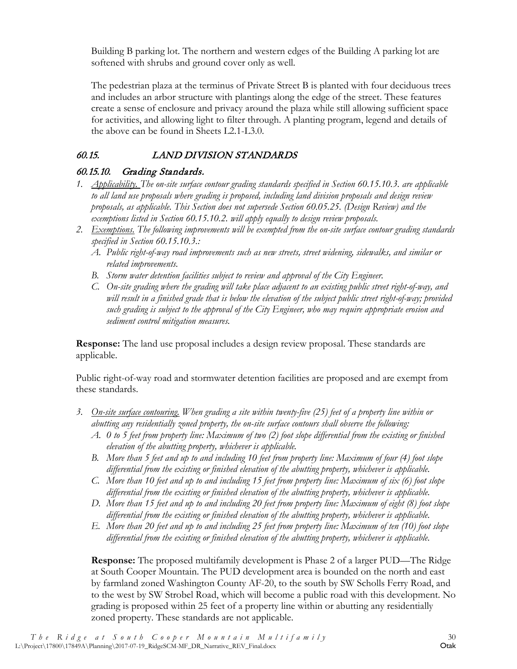Building B parking lot. The northern and western edges of the Building A parking lot are softened with shrubs and ground cover only as well.

The pedestrian plaza at the terminus of Private Street B is planted with four deciduous trees and includes an arbor structure with plantings along the edge of the street. These features create a sense of enclosure and privacy around the plaza while still allowing sufficient space for activities, and allowing light to filter through. A planting program, legend and details of the above can be found in Sheets L2.1-L3.0.

# <span id="page-34-0"></span>60.15. LAND DIVISION STANDARDS

### 60.15.10. Grading Standards.

- *1. Applicability. The on-site surface contour grading standards specified in Section 60.15.10.3. are applicable to all land use proposals where grading is proposed, including land division proposals and design review proposals, as applicable. This Section does not supersede Section 60.05.25. (Design Review) and the exemptions listed in Section 60.15.10.2. will apply equally to design review proposals.*
- *2. Exemptions. The following improvements will be exempted from the on-site surface contour grading standards specified in Section 60.15.10.3.:*
	- *A. Public right-of-way road improvements such as new streets, street widening, sidewalks, and similar or related improvements.*
	- *B. Storm water detention facilities subject to review and approval of the City Engineer.*
	- *C. On-site grading where the grading will take place adjacent to an existing public street right-of-way, and will result in a finished grade that is below the elevation of the subject public street right-of-way; provided such grading is subject to the approval of the City Engineer, who may require appropriate erosion and sediment control mitigation measures.*

**Response:** The land use proposal includes a design review proposal. These standards are applicable.

Public right-of-way road and stormwater detention facilities are proposed and are exempt from these standards.

- *3. On-site surface contouring. When grading a site within twenty-five (25) feet of a property line within or abutting any residentially zoned property, the on-site surface contours shall observe the following:*
	- *A. 0 to 5 feet from property line: Maximum of two (2) foot slope differential from the existing or finished elevation of the abutting property, whichever is applicable.*
	- *B. More than 5 feet and up to and including 10 feet from property line: Maximum of four (4) foot slope differential from the existing or finished elevation of the abutting property, whichever is applicable.*
	- *C. More than 10 feet and up to and including 15 feet from property line: Maximum of six (6) foot slope differential from the existing or finished elevation of the abutting property, whichever is applicable.*
	- *D. More than 15 feet and up to and including 20 feet from property line: Maximum of eight (8) foot slope differential from the existing or finished elevation of the abutting property, whichever is applicable.*
	- *E. More than 20 feet and up to and including 25 feet from property line: Maximum of ten (10) foot slope differential from the existing or finished elevation of the abutting property, whichever is applicable.*

**Response:** The proposed multifamily development is Phase 2 of a larger PUD—The Ridge at South Cooper Mountain. The PUD development area is bounded on the north and east by farmland zoned Washington County AF-20, to the south by SW Scholls Ferry Road, and to the west by SW Strobel Road, which will become a public road with this development. No grading is proposed within 25 feet of a property line within or abutting any residentially zoned property. These standards are not applicable.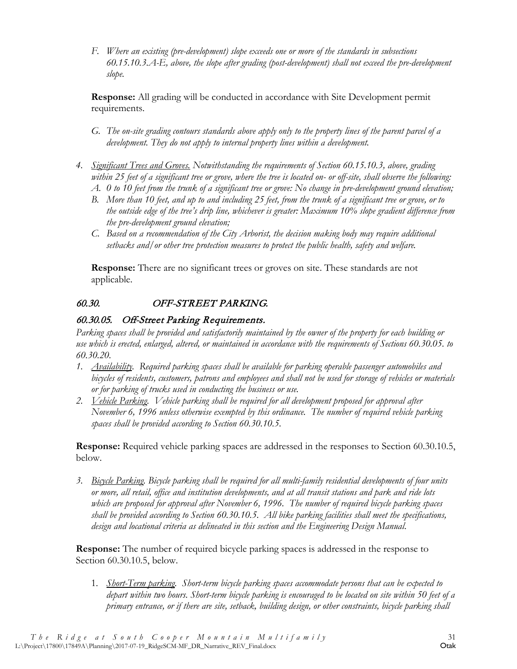*F. Where an existing (pre-development) slope exceeds one or more of the standards in subsections 60.15.10.3.A-E, above, the slope after grading (post-development) shall not exceed the pre-development slope.*

**Response:** All grading will be conducted in accordance with Site Development permit requirements.

- *G. The on-site grading contours standards above apply only to the property lines of the parent parcel of a development.* They do not apply to internal property lines within a development.
- *4. Significant Trees and Groves. Notwithstanding the requirements of Section 60.15.10.3, above, grading within 25 feet of a significant tree or grove, where the tree is located on- or off-site, shall observe the following:*
	- *A. 0 to 10 feet from the trunk of a significant tree or grove: No change in pre-development ground elevation;*
	- *B. More than 10 feet, and up to and including 25 feet, from the trunk of a significant tree or grove, or to the outside edge of the tree's drip line, whichever is greater: Maximum 10% slope gradient difference from the pre-development ground elevation;*
	- *C. Based on a recommendation of the City Arborist, the decision making body may require additional setbacks and/or other tree protection measures to protect the public health, safety and welfare.*

**Response:** There are no significant trees or groves on site. These standards are not applicable.

#### <span id="page-35-0"></span>60.30. OFF-STREET PARKING.

#### 60.30.05. Off-Street Parking Requirements.

*Parking spaces shall be provided and satisfactorily maintained by the owner of the property for each building or use which is erected, enlarged, altered, or maintained in accordance with the requirements of Sections 60.30.05. to 60.30.20.*

- *1. Availability. Required parking spaces shall be available for parking operable passenger automobiles and bicycles of residents, customers, patrons and employees and shall not be used for storage of vehicles or materials or for parking of trucks used in conducting the business or use.*
- *2. Vehicle Parking. Vehicle parking shall be required for all development proposed for approval after November 6, 1996 unless otherwise exempted by this ordinance. The number of required vehicle parking spaces shall be provided according to Section 60.30.10.5.*

**Response:** Required vehicle parking spaces are addressed in the responses to Section 60.30.10.5, below.

*3. Bicycle Parking. Bicycle parking shall be required for all multi-family residential developments of four units or more, all retail, office and institution developments, and at all transit stations and park and ride lots which are proposed for approval after November 6, 1996. The number of required bicycle parking spaces shall be provided according to Section 60.30.10.5. All bike parking facilities shall meet the specifications, design and locational criteria as delineated in this section and the Engineering Design Manual*.

**Response:** The number of required bicycle parking spaces is addressed in the response to Section 60.30.10.5, below.

1. *Short-Term parking. Short-term bicycle parking spaces accommodate persons that can be expected to depart within two hours. Short-term bicycle parking is encouraged to be located on site within 50 feet of a primary entrance, or if there are site, setback, building design, or other constraints, bicycle parking shall*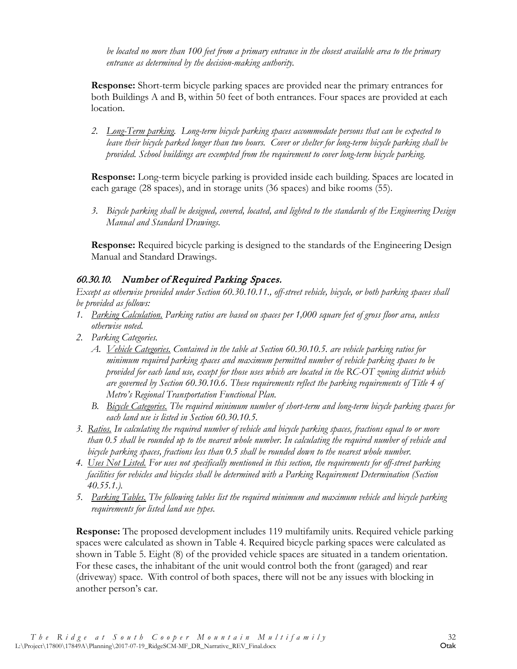*be located no more than 100 feet from a primary entrance in the closest available area to the primary entrance as determined by the decision-making authority.*

**Response:** Short-term bicycle parking spaces are provided near the primary entrances for both Buildings A and B, within 50 feet of both entrances. Four spaces are provided at each location.

*2. Long-Term parking. Long-term bicycle parking spaces accommodate persons that can be expected to leave their bicycle parked longer than two hours. Cover or shelter for long-term bicycle parking shall be provided. School buildings are exempted from the requirement to cover long-term bicycle parking.*

**Response:** Long-term bicycle parking is provided inside each building. Spaces are located in each garage (28 spaces), and in storage units (36 spaces) and bike rooms (55).

*3. Bicycle parking shall be designed, covered, located, and lighted to the standards of the Engineering Design Manual and Standard Drawings.*

**Response:** Required bicycle parking is designed to the standards of the Engineering Design Manual and Standard Drawings.

#### 60.30.10. Number of Required Parking Spaces.

*Except as otherwise provided under Section 60.30.10.11., off-street vehicle, bicycle, or both parking spaces shall be provided as follows:*

- *1. Parking Calculation. Parking ratios are based on spaces per 1,000 square feet of gross floor area, unless otherwise noted.*
- *2. Parking Categories.*
	- *A. Vehicle Categories. Contained in the table at Section 60.30.10.5. are vehicle parking ratios for minimum required parking spaces and maximum permitted number of vehicle parking spaces to be provided for each land use, except for those uses which are located in the RC-OT zoning district which are governed by Section 60.30.10.6. These requirements reflect the parking requirements of Title 4 of Metro's Regional Transportation Functional Plan.*
	- *B. Bicycle Categories. The required minimum number of short-term and long-term bicycle parking spaces for each land use is listed in Section 60.30.10.5.*
- *3. Ratios. In calculating the required number of vehicle and bicycle parking spaces, fractions equal to or more than 0.5 shall be rounded up to the nearest whole number. In calculating the required number of vehicle and bicycle parking spaces, fractions less than 0.5 shall be rounded down to the nearest whole number.*
- *4. Uses Not Listed. For uses not specifically mentioned in this section, the requirements for off-street parking facilities for vehicles and bicycles shall be determined with a Parking Requirement Determination (Section 40.55.1.).*
- *5. Parking Tables. The following tables list the required minimum and maximum vehicle and bicycle parking requirements for listed land use types.*

**Response:** The proposed development includes 119 multifamily units. Required vehicle parking spaces were calculated as shown in Table 4. Required bicycle parking spaces were calculated as shown in Table 5. Eight (8) of the provided vehicle spaces are situated in a tandem orientation. For these cases, the inhabitant of the unit would control both the front (garaged) and rear (driveway) space. With control of both spaces, there will not be any issues with blocking in another person's car.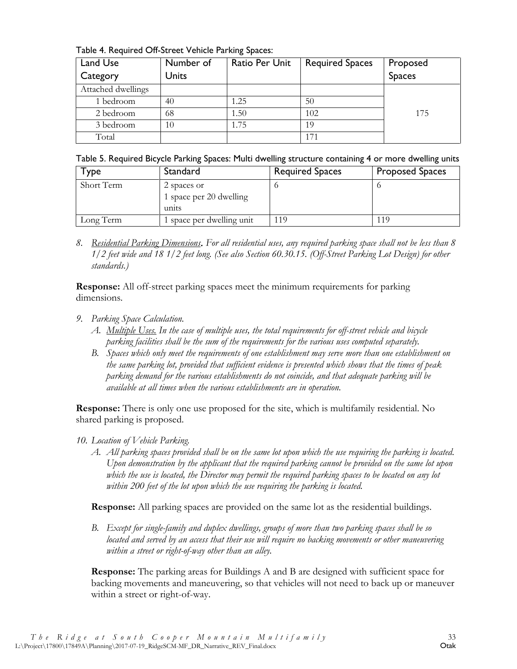Table 4. Required Off-Street Vehicle Parking Spaces:

| Land Use           | Number of | Ratio Per Unit | <b>Required Spaces</b> | Proposed      |
|--------------------|-----------|----------------|------------------------|---------------|
| Category           | Units     |                |                        | <b>Spaces</b> |
| Attached dwellings |           |                |                        |               |
| 1 bedroom          | 40        | 1.25           | 50                     |               |
| 2 bedroom          | 68        | 1.50           | 102                    | 175           |
| 3 bedroom          | 10        | 1.75           | 19                     |               |
| Total              |           |                | 171                    |               |

|  |  |  |  | Table 5. Required Bicycle Parking Spaces: Multi dwelling structure containing 4 or more dwelling units |  |  |
|--|--|--|--|--------------------------------------------------------------------------------------------------------|--|--|
|  |  |  |  |                                                                                                        |  |  |

| l ype      | Standard                                        | <b>Required Spaces</b> | <b>Proposed Spaces</b> |
|------------|-------------------------------------------------|------------------------|------------------------|
| Short Term | 2 spaces or<br>1 space per 20 dwelling<br>units |                        |                        |
| Long Term  | 1 space per dwelling unit                       | 119                    | 119                    |

*8. Residential Parking Dimensions*. *For all residential uses, any required parking space shall not be less than 8 1/2 feet wide and 18 1/2 feet long. (See also Section 60.30.15. (Off-Street Parking Lot Design) for other standards.)* 

**Response:** All off-street parking spaces meet the minimum requirements for parking dimensions.

- *9. Parking Space Calculation.*
	- *A. Multiple Uses. In the case of multiple uses, the total requirements for off-street vehicle and bicycle parking facilities shall be the sum of the requirements for the various uses computed separately.*
	- *B. Spaces which only meet the requirements of one establishment may serve more than one establishment on the same parking lot, provided that sufficient evidence is presented which shows that the times of peak parking demand for the various establishments do not coincide, and that adequate parking will be available at all times when the various establishments are in operation.*

**Response:** There is only one use proposed for the site, which is multifamily residential. No shared parking is proposed.

- *10. Location of Vehicle Parking.*
	- *A. All parking spaces provided shall be on the same lot upon which the use requiring the parking is located. Upon demonstration by the applicant that the required parking cannot be provided on the same lot upon which the use is located, the Director may permit the required parking spaces to be located on any lot within 200 feet of the lot upon which the use requiring the parking is located.*

**Response:** All parking spaces are provided on the same lot as the residential buildings.

*B. Except for single-family and duplex dwellings, groups of more than two parking spaces shall be so located and served by an access that their use will require no backing movements or other maneuvering within a street or right-of-way other than an alley.*

**Response:** The parking areas for Buildings A and B are designed with sufficient space for backing movements and maneuvering, so that vehicles will not need to back up or maneuver within a street or right-of-way.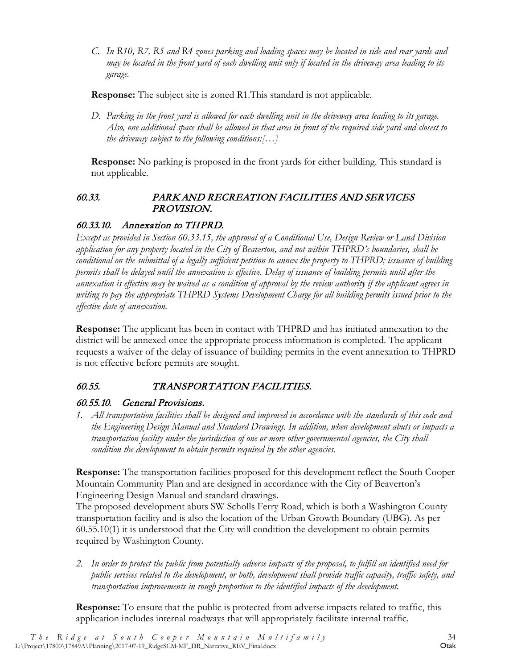*C. In R10, R7, R5 and R4 zones parking and loading spaces may be located in side and rear yards and may be located in the front yard of each dwelling unit only if located in the driveway area leading to its garage.* 

**Response:** The subject site is zoned R1.This standard is not applicable.

*D. Parking in the front yard is allowed for each dwelling unit in the driveway area leading to its garage. Also, one additional space shall be allowed in that area in front of the required side yard and closest to the driveway subject to the following conditions:[…]*

**Response:** No parking is proposed in the front yards for either building. This standard is not applicable.

#### <span id="page-38-0"></span>60.33. PARK AND RECREATION FACILITIES AND SERVICES PROVISION.

#### 60.33.10. Annexation to THPRD.

*Except as provided in Section 60.33.15, the approval of a Conditional Use, Design Review or Land Division application for any property located in the City of Beaverton, and not within THPRD's boundaries, shall be conditional on the submittal of a legally sufficient petition to annex the property to THPRD; issuance of building permits shall be delayed until the annexation is effective. Delay of issuance of building permits until after the annexation is effective may be waived as a condition of approval by the review authority if the applicant agrees in writing to pay the appropriate THPRD Systems Development Charge for all building permits issued prior to the effective date of annexation.* 

**Response:** The applicant has been in contact with THPRD and has initiated annexation to the district will be annexed once the appropriate process information is completed. The applicant requests a waiver of the delay of issuance of building permits in the event annexation to THPRD is not effective before permits are sought.

#### <span id="page-38-1"></span>60.55. TRANSPORTATION FACILITIES.

#### 60.55.10. General Provisions.

*1. All transportation facilities shall be designed and improved in accordance with the standards of this code and the Engineering Design Manual and Standard Drawings. In addition, when development abuts or impacts a transportation facility under the jurisdiction of one or more other governmental agencies, the City shall condition the development to obtain permits required by the other agencies.* 

**Response:** The transportation facilities proposed for this development reflect the South Cooper Mountain Community Plan and are designed in accordance with the City of Beaverton's Engineering Design Manual and standard drawings.

The proposed development abuts SW Scholls Ferry Road, which is both a Washington County transportation facility and is also the location of the Urban Growth Boundary (UBG). As per 60.55.10(1) it is understood that the City will condition the development to obtain permits required by Washington County.

*2. In order to protect the public from potentially adverse impacts of the proposal, to fulfill an identified need for public services related to the development, or both, development shall provide traffic capacity, traffic safety, and transportation improvements in rough proportion to the identified impacts of the development.* 

**Response:** To ensure that the public is protected from adverse impacts related to traffic, this application includes internal roadways that will appropriately facilitate internal traffic.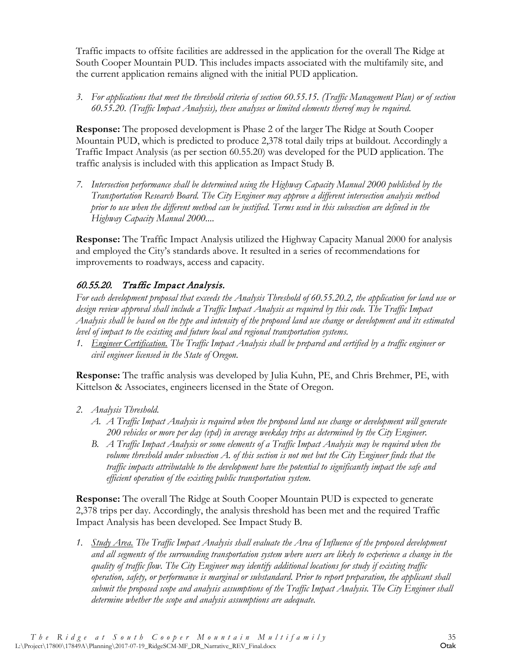Traffic impacts to offsite facilities are addressed in the application for the overall The Ridge at South Cooper Mountain PUD. This includes impacts associated with the multifamily site, and the current application remains aligned with the initial PUD application.

*3. For applications that meet the threshold criteria of section 60.55.15. (Traffic Management Plan) or of section 60.55.20. (Traffic Impact Analysis), these analyses or limited elements thereof may be required.*

**Response:** The proposed development is Phase 2 of the larger The Ridge at South Cooper Mountain PUD, which is predicted to produce 2,378 total daily trips at buildout. Accordingly a Traffic Impact Analysis (as per section 60.55.20) was developed for the PUD application. The traffic analysis is included with this application as Impact Study B.

*7. Intersection performance shall be determined using the Highway Capacity Manual 2000 published by the Transportation Research Board. The City Engineer may approve a different intersection analysis method prior to use when the different method can be justified. Terms used in this subsection are defined in the Highway Capacity Manual 2000....*

**Response:** The Traffic Impact Analysis utilized the Highway Capacity Manual 2000 for analysis and employed the City's standards above. It resulted in a series of recommendations for improvements to roadways, access and capacity.

# 60.55.20. Traffic Impact Analysis.

*For each development proposal that exceeds the Analysis Threshold of 60.55.20.2, the application for land use or design review approval shall include a Traffic Impact Analysis as required by this code. The Traffic Impact Analysis shall be based on the type and intensity of the proposed land use change or development and its estimated level of impact to the existing and future local and regional transportation systems.*

*1. Engineer Certification. The Traffic Impact Analysis shall be prepared and certified by a traffic engineer or civil engineer licensed in the State of Oregon.*

**Response:** The traffic analysis was developed by Julia Kuhn, PE, and Chris Brehmer, PE, with Kittelson & Associates, engineers licensed in the State of Oregon.

- *2. Analysis Threshold.*
	- *A. A Traffic Impact Analysis is required when the proposed land use change or development will generate 200 vehicles or more per day (vpd) in average weekday trips as determined by the City Engineer.*
	- *B. A Traffic Impact Analysis or some elements of a Traffic Impact Analysis may be required when the volume threshold under subsection A. of this section is not met but the City Engineer finds that the traffic impacts attributable to the development have the potential to significantly impact the safe and efficient operation of the existing public transportation system.*

**Response:** The overall The Ridge at South Cooper Mountain PUD is expected to generate 2,378 trips per day. Accordingly, the analysis threshold has been met and the required Traffic Impact Analysis has been developed. See Impact Study B.

*1. Study Area. The Traffic Impact Analysis shall evaluate the Area of Influence of the proposed development and all segments of the surrounding transportation system where users are likely to experience a change in the quality of traffic flow. The City Engineer may identify additional locations for study if existing traffic operation, safety, or performance is marginal or substandard. Prior to report preparation, the applicant shall submit the proposed scope and analysis assumptions of the Traffic Impact Analysis. The City Engineer shall determine whether the scope and analysis assumptions are adequate.*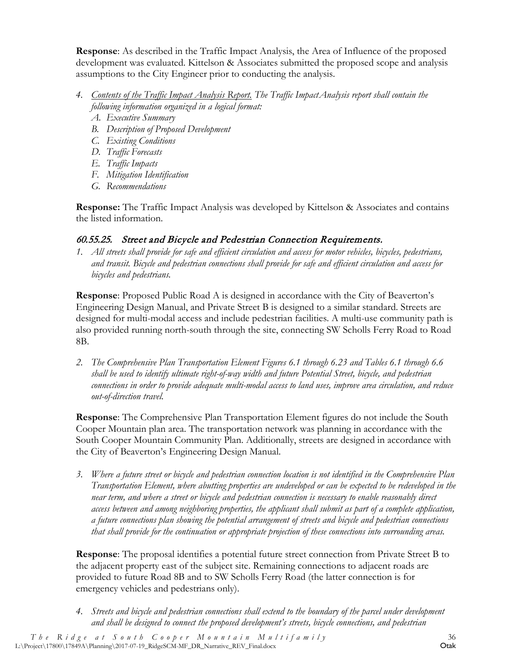**Response**: As described in the Traffic Impact Analysis, the Area of Influence of the proposed development was evaluated. Kittelson & Associates submitted the proposed scope and analysis assumptions to the City Engineer prior to conducting the analysis.

- *4. Contents of the Traffic Impact Analysis Report. The Traffic ImpactAnalysis report shall contain the following information organized in a logical format:*
	- *A. Executive Summary*
	- *B. Description of Proposed Development*
	- *C. Existing Conditions*
	- *D. Traffic Forecasts*
	- *E. Traffic Impacts*
	- *F. Mitigation Identification*
	- *G. Recommendations*

**Response:** The Traffic Impact Analysis was developed by Kittelson & Associates and contains the listed information.

# 60.55.25. Street and Bicycle and Pedestrian Connection Requirements.

*1. All streets shall provide for safe and efficient circulation and access for motor vehicles, bicycles, pedestrians, and transit. Bicycle and pedestrian connections shall provide for safe and efficient circulation and access for bicycles and pedestrians.*

**Response**: Proposed Public Road A is designed in accordance with the City of Beaverton's Engineering Design Manual, and Private Street B is designed to a similar standard. Streets are designed for multi-modal access and include pedestrian facilities. A multi-use community path is also provided running north-south through the site, connecting SW Scholls Ferry Road to Road 8B.

*2. The Comprehensive Plan Transportation Element Figures 6.1 through 6.23 and Tables 6.1 through 6.6 shall be used to identify ultimate right-of-way width and future Potential Street, bicycle, and pedestrian connections in order to provide adequate multi-modal access to land uses, improve area circulation, and reduce out-of-direction travel.*

**Response**: The Comprehensive Plan Transportation Element figures do not include the South Cooper Mountain plan area. The transportation network was planning in accordance with the South Cooper Mountain Community Plan. Additionally, streets are designed in accordance with the City of Beaverton's Engineering Design Manual.

*3. Where a future street or bicycle and pedestrian connection location is not identified in the Comprehensive Plan Transportation Element, where abutting properties are undeveloped or can be expected to be redeveloped in the near term, and where a street or bicycle and pedestrian connection is necessary to enable reasonably direct access between and among neighboring properties, the applicant shall submit as part of a complete application, a future connections plan showing the potential arrangement of streets and bicycle and pedestrian connections that shall provide for the continuation or appropriate projection of these connections into surrounding areas.*

**Response**: The proposal identifies a potential future street connection from Private Street B to the adjacent property east of the subject site. Remaining connections to adjacent roads are provided to future Road 8B and to SW Scholls Ferry Road (the latter connection is for emergency vehicles and pedestrians only).

*4. Streets and bicycle and pedestrian connections shall extend to the boundary of the parcel under development and shall be designed to connect the proposed development's streets, bicycle connections, and pedestrian*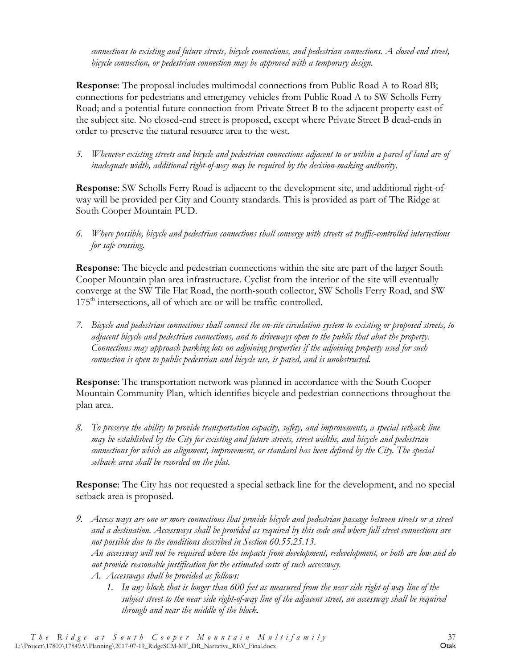*connections to existing and future streets, bicycle connections, and pedestrian connections. A closed-end street, bicycle connection, or pedestrian connection may be approved with a temporary design.*

**Response**: The proposal includes multimodal connections from Public Road A to Road 8B; connections for pedestrians and emergency vehicles from Public Road A to SW Scholls Ferry Road; and a potential future connection from Private Street B to the adjacent property east of the subject site. No closed-end street is proposed, except where Private Street B dead-ends in order to preserve the natural resource area to the west.

*5. Whenever existing streets and bicycle and pedestrian connections adjacent to or within a parcel of land are of inadequate width, additional right-of-way may be required by the decision-making authority.*

**Response**: SW Scholls Ferry Road is adjacent to the development site, and additional right-ofway will be provided per City and County standards. This is provided as part of The Ridge at South Cooper Mountain PUD.

*6. Where possible, bicycle and pedestrian connections shall converge with streets at traffic-controlled intersections for safe crossing.*

**Response**: The bicycle and pedestrian connections within the site are part of the larger South Cooper Mountain plan area infrastructure. Cyclist from the interior of the site will eventually converge at the SW Tile Flat Road, the north-south collector, SW Scholls Ferry Road, and SW 175<sup>th</sup> intersections, all of which are or will be traffic-controlled.

*7. Bicycle and pedestrian connections shall connect the on-site circulation system to existing or proposed streets, to adjacent bicycle and pedestrian connections, and to driveways open to the public that abut the property. Connections may approach parking lots on adjoining properties if the adjoining property used for such connection is open to public pedestrian and bicycle use, is paved, and is unobstructed.*

**Response**: The transportation network was planned in accordance with the South Cooper Mountain Community Plan, which identifies bicycle and pedestrian connections throughout the plan area.

*8. To preserve the ability to provide transportation capacity, safety, and improvements, a special setback line may be established by the City for existing and future streets, street widths, and bicycle and pedestrian connections for which an alignment, improvement, or standard has been defined by the City. The special setback area shall be recorded on the plat.*

**Response**: The City has not requested a special setback line for the development, and no special setback area is proposed.

- *9. Access ways are one or more connections that provide bicycle and pedestrian passage between streets or a street and a destination. Accessways shall be provided as required by this code and where full street connections are not possible due to the conditions described in Section 60.55.25.13. An accessway will not be required where the impacts from development, redevelopment, or both are low and do not provide reasonable justification for the estimated costs of such accessway.*
	- *A. Accessways shall be provided as follows:*
		- *1. In any block that is longer than 600 feet as measured from the near side right-of-way line of the subject street to the near side right-of-way line of the adjacent street, an accessway shall be required through and near the middle of the block.*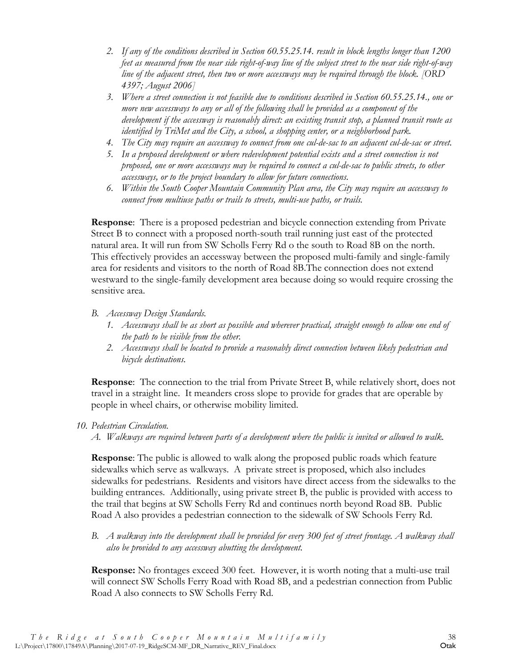- *2. If any of the conditions described in Section 60.55.25.14. result in block lengths longer than 1200 feet as measured from the near side right-of-way line of the subject street to the near side right-of-way line of the adjacent street, then two or more accessways may be required through the block. [ORD 4397; August 2006]*
- *3. Where a street connection is not feasible due to conditions described in Section 60.55.25.14., one or more new accessways to any or all of the following shall be provided as a component of the development if the accessway is reasonably direct: an existing transit stop, a planned transit route as identified by TriMet and the City, a school, a shopping center, or a neighborhood park.*
- *4. The City may require an accessway to connect from one cul-de-sac to an adjacent cul-de-sac or street.*
- *5. In a proposed development or where redevelopment potential exists and a street connection is not proposed, one or more accessways may be required to connect a cul-de-sac to public streets, to other accessways, or to the project boundary to allow for future connections.*
- *6. Within the South Cooper Mountain Community Plan area, the City may require an accessway to connect from multiuse paths or trails to streets, multi-use paths, or trails.*

**Response**: There is a proposed pedestrian and bicycle connection extending from Private Street B to connect with a proposed north-south trail running just east of the protected natural area. It will run from SW Scholls Ferry Rd o the south to Road 8B on the north. This effectively provides an accessway between the proposed multi-family and single-family area for residents and visitors to the north of Road 8B.The connection does not extend westward to the single-family development area because doing so would require crossing the sensitive area.

- *B. Accessway Design Standards.* 
	- *1. Accessways shall be as short as possible and wherever practical, straight enough to allow one end of the path to be visible from the other.*
	- *2. Accessways shall be located to provide a reasonably direct connection between likely pedestrian and bicycle destinations.*

**Response**: The connection to the trial from Private Street B, while relatively short, does not travel in a straight line. It meanders cross slope to provide for grades that are operable by people in wheel chairs, or otherwise mobility limited.

#### *10. Pedestrian Circulation.*

*A. Walkways are required between parts of a development where the public is invited or allowed to walk.*

**Response**: The public is allowed to walk along the proposed public roads which feature sidewalks which serve as walkways. A private street is proposed, which also includes sidewalks for pedestrians. Residents and visitors have direct access from the sidewalks to the building entrances. Additionally, using private street B, the public is provided with access to the trail that begins at SW Scholls Ferry Rd and continues north beyond Road 8B. Public Road A also provides a pedestrian connection to the sidewalk of SW Schools Ferry Rd.

*B. A walkway into the development shall be provided for every 300 feet of street frontage. A walkway shall also be provided to any accessway abutting the development.*

**Response:** No frontages exceed 300 feet. However, it is worth noting that a multi-use trail will connect SW Scholls Ferry Road with Road 8B, and a pedestrian connection from Public Road A also connects to SW Scholls Ferry Rd.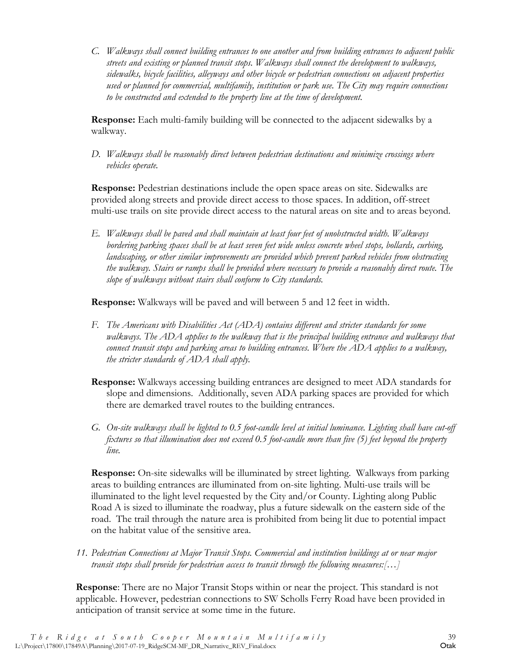*C. Walkways shall connect building entrances to one another and from building entrances to adjacent public streets and existing or planned transit stops. Walkways shall connect the development to walkways, sidewalks, bicycle facilities, alleyways and other bicycle or pedestrian connections on adjacent properties used or planned for commercial, multifamily, institution or park use. The City may require connections to be constructed and extended to the property line at the time of development.*

**Response:** Each multi-family building will be connected to the adjacent sidewalks by a walkway.

*D. Walkways shall be reasonably direct between pedestrian destinations and minimize crossings where vehicles operate.*

**Response:** Pedestrian destinations include the open space areas on site. Sidewalks are provided along streets and provide direct access to those spaces. In addition, off-street multi-use trails on site provide direct access to the natural areas on site and to areas beyond.

*E. Walkways shall be paved and shall maintain at least four feet of unobstructed width. Walkways bordering parking spaces shall be at least seven feet wide unless concrete wheel stops, bollards, curbing, landscaping, or other similar improvements are provided which prevent parked vehicles from obstructing the walkway. Stairs or ramps shall be provided where necessary to provide a reasonably direct route. The slope of walkways without stairs shall conform to City standards.*

**Response:** Walkways will be paved and will between 5 and 12 feet in width.

- *F. The Americans with Disabilities Act (ADA) contains different and stricter standards for some walkways. The ADA applies to the walkway that is the principal building entrance and walkways that connect transit stops and parking areas to building entrances. Where the ADA applies to a walkway, the stricter standards of ADA shall apply.*
- **Response:** Walkways accessing building entrances are designed to meet ADA standards for slope and dimensions. Additionally, seven ADA parking spaces are provided for which there are demarked travel routes to the building entrances.
- *G. On-site walkways shall be lighted to 0.5 foot-candle level at initial luminance. Lighting shall have cut-off fixtures so that illumination does not exceed 0.5 foot-candle more than five (5) feet beyond the property line.*

**Response:** On-site sidewalks will be illuminated by street lighting. Walkways from parking areas to building entrances are illuminated from on-site lighting. Multi-use trails will be illuminated to the light level requested by the City and/or County. Lighting along Public Road A is sized to illuminate the roadway, plus a future sidewalk on the eastern side of the road. The trail through the nature area is prohibited from being lit due to potential impact on the habitat value of the sensitive area.

*11. Pedestrian Connections at Major Transit Stops. Commercial and institution buildings at or near major transit stops shall provide for pedestrian access to transit through the following measures:[…]*

**Response**: There are no Major Transit Stops within or near the project. This standard is not applicable. However, pedestrian connections to SW Scholls Ferry Road have been provided in anticipation of transit service at some time in the future.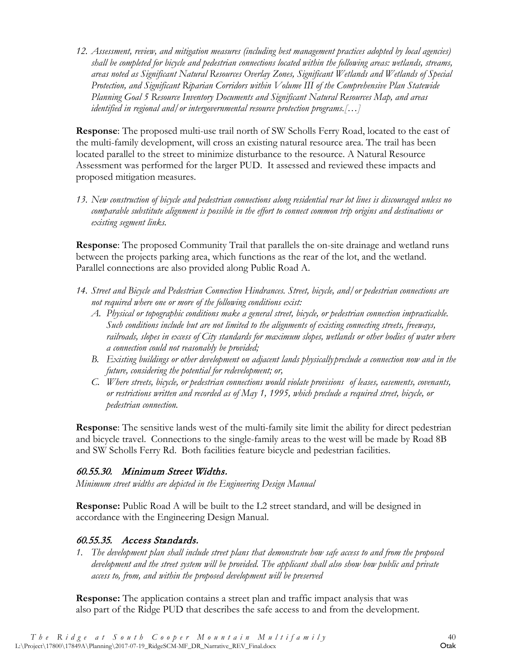*12. Assessment, review, and mitigation measures (including best management practices adopted by local agencies) shall be completed for bicycle and pedestrian connections located within the following areas: wetlands, streams, areas noted as Significant Natural Resources Overlay Zones, Significant Wetlands and Wetlands of Special Protection, and Significant Riparian Corridors within Volume III of the Comprehensive Plan Statewide Planning Goal 5 Resource Inventory Documents and Significant Natural Resources Map, and areas identified in regional and/or intergovernmental resource protection programs.[…]*

**Response**: The proposed multi-use trail north of SW Scholls Ferry Road, located to the east of the multi-family development, will cross an existing natural resource area. The trail has been located parallel to the street to minimize disturbance to the resource. A Natural Resource Assessment was performed for the larger PUD. It assessed and reviewed these impacts and proposed mitigation measures.

*13. New construction of bicycle and pedestrian connections along residential rear lot lines is discouraged unless no comparable substitute alignment is possible in the effort to connect common trip origins and destinations or existing segment links.*

**Response**: The proposed Community Trail that parallels the on-site drainage and wetland runs between the projects parking area, which functions as the rear of the lot, and the wetland. Parallel connections are also provided along Public Road A.

- *14. Street and Bicycle and Pedestrian Connection Hindrances. Street, bicycle, and/or pedestrian connections are not required where one or more of the following conditions exist:*
	- *A. Physical or topographic conditions make a general street, bicycle, or pedestrian connection impracticable. Such conditions include but are not limited to the alignments of existing connecting streets, freeways, railroads, slopes in excess of City standards for maximum slopes, wetlands or other bodies of water where a connection could not reasonably be provided;*
	- *B. Existing buildings or other development on adjacent lands physicallypreclude a connection now and in the future, considering the potential for redevelopment; or,*
	- *C. Where streets, bicycle, or pedestrian connections would violate provisions of leases, easements, covenants, or restrictions written and recorded as of May 1, 1995, which preclude a required street, bicycle, or pedestrian connection.*

**Response**: The sensitive lands west of the multi-family site limit the ability for direct pedestrian and bicycle travel. Connections to the single-family areas to the west will be made by Road 8B and SW Scholls Ferry Rd. Both facilities feature bicycle and pedestrian facilities.

#### 60.55.30. Minimum Street Widths.

*Minimum street widths are depicted in the Engineering Design Manual*

**Response:** Public Road A will be built to the L2 street standard, and will be designed in accordance with the Engineering Design Manual.

#### 60.55.35. Access Standards.

*1. The development plan shall include street plans that demonstrate how safe access to and from the proposed development and the street system will be provided. The applicant shall also show how public and private access to, from, and within the proposed development will be preserved*

**Response:** The application contains a street plan and traffic impact analysis that was also part of the Ridge PUD that describes the safe access to and from the development.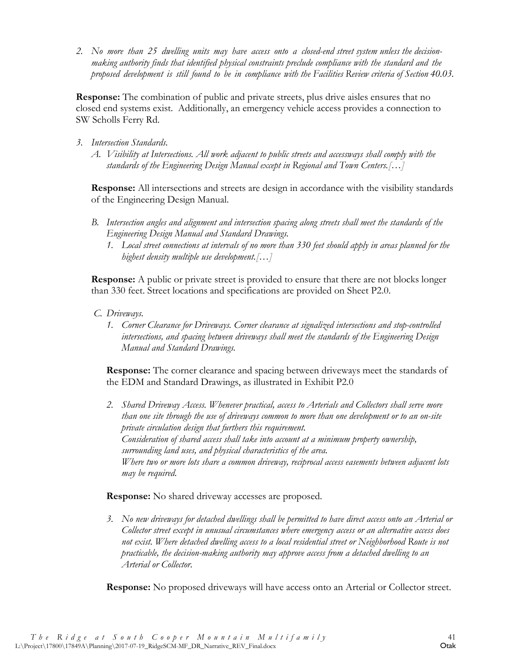*2. No more than 25 dwelling units may have access onto a closed-end street system unless the decisionmaking authority finds that identified physical constraints preclude compliance with the standard and the proposed development is still found to be in compliance with the Facilities Review criteria of Section 40.03.* 

**Response:** The combination of public and private streets, plus drive aisles ensures that no closed end systems exist. Additionally, an emergency vehicle access provides a connection to SW Scholls Ferry Rd.

- *3. Intersection Standards.*
	- *A. Visibility at Intersections. All work adjacent to public streets and accessways shall comply with the standards of the Engineering Design Manual except in Regional and Town Centers.[…]*

**Response:** All intersections and streets are design in accordance with the visibility standards of the Engineering Design Manual.

- *B. Intersection angles and alignment and intersection spacing along streets shall meet the standards of the Engineering Design Manual and Standard Drawings.*
	- *1. Local street connections at intervals of no more than 330 feet should apply in areas planned for the highest density multiple use development.[…]*

**Response:** A public or private street is provided to ensure that there are not blocks longer than 330 feet. Street locations and specifications are provided on Sheet P2.0.

- *C. Driveways.*
	- *1. Corner Clearance for Driveways. Corner clearance at signalized intersections and stop-controlled intersections, and spacing between driveways shall meet the standards of the Engineering Design Manual and Standard Drawings.*

**Response:** The corner clearance and spacing between driveways meet the standards of the EDM and Standard Drawings, as illustrated in Exhibit P2.0

*2. Shared Driveway Access. Whenever practical, access to Arterials and Collectors shall serve more than one site through the use of driveways common to more than one development or to an on-site private circulation design that furthers this requirement. Consideration of shared access shall take into account at a minimum property ownership, surrounding land uses, and physical characteristics of the area. Where two or more lots share a common driveway, reciprocal access easements between adjacent lots may be required.*

#### **Response:** No shared driveway accesses are proposed.

*3. No new driveways for detached dwellings shall be permitted to have direct access onto an Arterial or Collector street except in unusual circumstances where emergency access or an alternative access does not exist. Where detached dwelling access to a local residential street or Neighborhood Route is not practicable, the decision-making authority may approve access from a detached dwelling to an Arterial or Collector.*

**Response:** No proposed driveways will have access onto an Arterial or Collector street.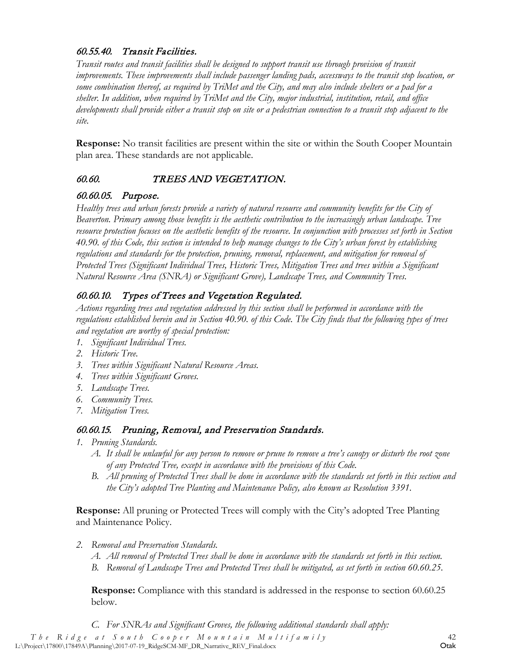### 60.55.40. Transit Facilities.

*Transit routes and transit facilities shall be designed to support transit use through provision of transit improvements. These improvements shall include passenger landing pads, accessways to the transit stop location, or some combination thereof, as required by TriMet and the City, and may also include shelters or a pad for a shelter. In addition, when required by TriMet and the City, major industrial, institution, retail, and office developments shall provide either a transit stop on site or a pedestrian connection to a transit stop adjacent to the site.*

**Response:** No transit facilities are present within the site or within the South Cooper Mountain plan area. These standards are not applicable.

# <span id="page-46-0"></span>60.60. TREES AND VEGETATION.

# 60.60.05. Purpose.

*Healthy trees and urban forests provide a variety of natural resource and community benefits for the City of Beaverton. Primary among those benefits is the aesthetic contribution to the increasingly urban landscape. Tree resource protection focuses on the aesthetic benefits of the resource. In conjunction with processes set forth in Section 40.90. of this Code, this section is intended to help manage changes to the City's urban forest by establishing regulations and standards for the protection, pruning, removal, replacement, and mitigation for removal of Protected Trees (Significant Individual Trees, Historic Trees, Mitigation Trees and trees within a Significant Natural Resource Area (SNRA) or Significant Grove), Landscape Trees, and Community Trees.*

# 60.60.10. Types of Trees and Vegetation Regulated.

*Actions regarding trees and vegetation addressed by this section shall be performed in accordance with the regulations established herein and in Section 40.90. of this Code. The City finds that the following types of trees and vegetation are worthy of special protection:*

- *1. Significant Individual Trees.*
- *2. Historic Tree.*
- *3. Trees within Significant Natural Resource Areas.*
- *4. Trees within Significant Groves.*
- *5. Landscape Trees.*
- *6. Community Trees.*
- *7. Mitigation Trees.*

# 60.60.15. Pruning, Removal, and Preservation Standards.

- *1. Pruning Standards.*
	- *A. It shall be unlawful for any person to remove or prune to remove a tree's canopy or disturb the root zone of any Protected Tree, except in accordance with the provisions of this Code.*
	- *B. All pruning of Protected Trees shall be done in accordance with the standards set forth in this section and the City's adopted Tree Planting and Maintenance Policy, also known as Resolution 3391.*

**Response:** All pruning or Protected Trees will comply with the City's adopted Tree Planting and Maintenance Policy.

- *2. Removal and Preservation Standards.*
	- *A. All removal of Protected Trees shall be done in accordance with the standards set forth in this section.*
	- *B. Removal of Landscape Trees and Protected Trees shall be mitigated, as set forth in section 60.60.25.*

**Response:** Compliance with this standard is addressed in the response to section 60.60.25 below.

*C. For SNRAs and Significant Groves, the following additional standards shall apply:*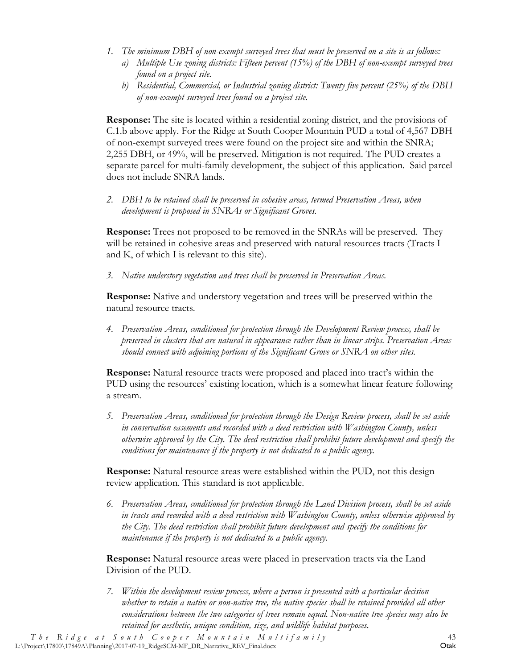- *1. The minimum DBH of non-exempt surveyed trees that must be preserved on a site is as follows:*
	- *a) Multiple Use zoning districts: Fifteen percent (15%) of the DBH of non-exempt surveyed trees found on a project site.*
	- *b) Residential, Commercial, or Industrial zoning district: Twenty five percent (25%) of the DBH of non-exempt surveyed trees found on a project site.*

**Response:** The site is located within a residential zoning district, and the provisions of C.1.b above apply. For the Ridge at South Cooper Mountain PUD a total of 4,567 DBH of non-exempt surveyed trees were found on the project site and within the SNRA; 2,255 DBH, or 49%, will be preserved. Mitigation is not required. The PUD creates a separate parcel for multi-family development, the subject of this application. Said parcel does not include SNRA lands.

*2. DBH to be retained shall be preserved in cohesive areas, termed Preservation Areas, when development is proposed in SNRAs or Significant Groves.*

**Response:** Trees not proposed to be removed in the SNRAs will be preserved. They will be retained in cohesive areas and preserved with natural resources tracts (Tracts I and K, of which I is relevant to this site).

*3. Native understory vegetation and trees shall be preserved in Preservation Areas.*

**Response:** Native and understory vegetation and trees will be preserved within the natural resource tracts.

*4. Preservation Areas, conditioned for protection through the Development Review process, shall be preserved in clusters that are natural in appearance rather than in linear strips. Preservation Areas should connect with adjoining portions of the Significant Grove or SNRA on other sites.*

**Response:** Natural resource tracts were proposed and placed into tract's within the PUD using the resources' existing location, which is a somewhat linear feature following a stream.

*5. Preservation Areas, conditioned for protection through the Design Review process, shall be set aside in conservation easements and recorded with a deed restriction with Washington County, unless otherwise approved by the City. The deed restriction shall prohibit future development and specify the conditions for maintenance if the property is not dedicated to a public agency.*

**Response:** Natural resource areas were established within the PUD, not this design review application. This standard is not applicable.

*6. Preservation Areas, conditioned for protection through the Land Division process, shall be set aside in tracts and recorded with a deed restriction with Washington County, unless otherwise approved by the City. The deed restriction shall prohibit future development and specify the conditions for maintenance if the property is not dedicated to a public agency.*

**Response:** Natural resource areas were placed in preservation tracts via the Land Division of the PUD.

*7. Within the development review process, where a person is presented with a particular decision whether to retain a native or non-native tree, the native species shall be retained provided all other considerations between the two categories of trees remain equal. Non-native tree species may also be retained for aesthetic, unique condition, size, and wildlife habitat purposes.*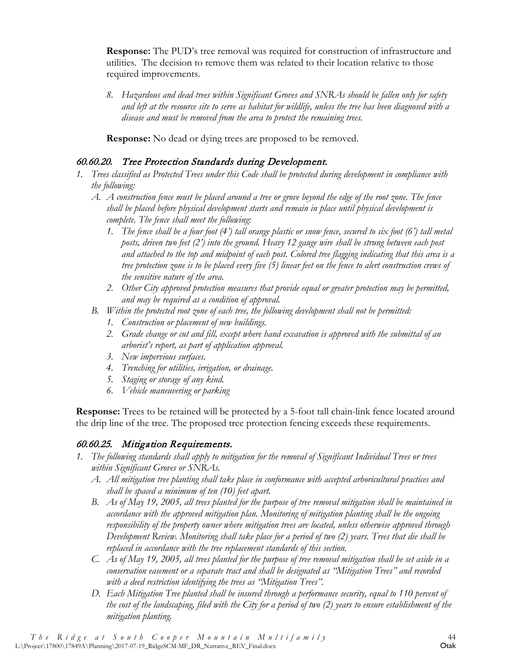**Response:** The PUD's tree removal was required for construction of infrastructure and utilities. The decision to remove them was related to their location relative to those required improvements.

*8. Hazardous and dead trees within Significant Groves and SNRAs should be fallen only for safety and left at the resource site to serve as habitat for wildlife, unless the tree has been diagnosed with a disease and must be removed from the area to protect the remaining trees.*

**Response:** No dead or dying trees are proposed to be removed.

### 60.60.20. Tree Protection Standards during Development.

- *1. Trees classified as Protected Trees under this Code shall be protected during development in compliance with the following:*
	- *A. A construction fence must be placed around a tree or grove beyond the edge of the root zone. The fence shall be placed before physical development starts and remain in place until physical development is complete. The fence shall meet the following:*
		- *1. The fence shall be a four foot (4') tall orange plastic or snow fence, secured to six foot (6') tall metal posts, driven two feet (2') into the ground. Heavy 12 gauge wire shall be strung between each post and attached to the top and midpoint of each post. Colored tree flagging indicating that this area is a tree protection zone is to be placed every five (5) linear feet on the fence to alert construction crews of the sensitive nature of the area.*
		- *2. Other City approved protection measures that provide equal or greater protection may be permitted, and may be required as a condition of approval.*
	- *B. Within the protected root zone of each tree, the following development shall not be permitted:*
		- *1. Construction or placement of new buildings.*
		- *2. Grade change or cut and fill, except where hand excavation is approved with the submittal of an arborist's report, as part of application approval.*
		- *3. New impervious surfaces.*
		- *4. Trenching for utilities, irrigation, or drainage.*
		- *5. Staging or storage of any kind.*
		- *6. Vehicle maneuvering or parking*

**Response:** Trees to be retained will be protected by a 5-foot tall chain-link fence located around the drip line of the tree. The proposed tree protection fencing exceeds these requirements.

# 60.60.25. Mitigation Requirements.

- *1. The following standards shall apply to mitigation for the removal of Significant Individual Trees or trees within Significant Groves or SNRAs.*
	- *A. All mitigation tree planting shall take place in conformance with accepted arboricultural practices and shall be spaced a minimum of ten (10) feet apart.*
	- *B. As of May 19, 2005, all trees planted for the purpose of tree removal mitigation shall be maintained in accordance with the approved mitigation plan. Monitoring of mitigation planting shall be the ongoing responsibility of the property owner where mitigation trees are located, unless otherwise approved through Development Review. Monitoring shall take place for a period of two (2) years. Trees that die shall be replaced in accordance with the tree replacement standards of this section.*
	- *C. As of May 19, 2005, all trees planted for the purpose of tree removal mitigation shall be set aside in a conservation easement or a separate tract and shall be designated as "Mitigation Trees" and recorded with a deed restriction identifying the trees as "Mitigation Trees".*
	- *D. Each Mitigation Tree planted shall be insured through a performance security, equal to 110 percent of the cost of the landscaping, filed with the City for a period of two (2) years to ensure establishment of the mitigation planting.*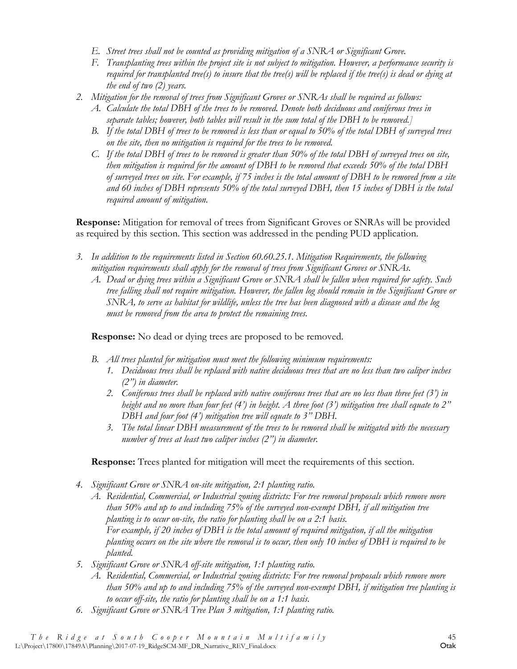- *E. Street trees shall not be counted as providing mitigation of a SNRA or Significant Grove.*
- *F. Transplanting trees within the project site is not subject to mitigation. However, a performance security is required for transplanted tree(s) to insure that the tree(s) will be replaced if the tree(s) is dead or dying at the end of two (2) years.*
- *2. Mitigation for the removal of trees from Significant Groves or SNRAs shall be required as follows:*
	- *A. Calculate the total DBH of the trees to be removed. Denote both deciduous and coniferous trees in separate tables; however, both tables will result in the sum total of the DBH to be removed.]*
	- *B. If the total DBH of trees to be removed is less than or equal to 50% of the total DBH of surveyed trees on the site, then no mitigation is required for the trees to be removed.*
	- *C. If the total DBH of trees to be removed is greater than 50% of the total DBH of surveyed trees on site, then mitigation is required for the amount of DBH to be removed that exceeds 50% of the total DBH of surveyed trees on site. For example, if 75 inches is the total amount of DBH to be removed from a site and 60 inches of DBH represents 50% of the total surveyed DBH, then 15 inches of DBH is the total required amount of mitigation.*

**Response:** Mitigation for removal of trees from Significant Groves or SNRAs will be provided as required by this section. This section was addressed in the pending PUD application.

- *3. In addition to the requirements listed in Section 60.60.25.1. Mitigation Requirements, the following mitigation requirements shall apply for the removal of trees from Significant Groves or SNRAs.*
	- *A. Dead or dying trees within a Significant Grove or SNRA shall be fallen when required for safety. Such tree falling shall not require mitigation. However, the fallen log should remain in the Significant Grove or SNRA, to serve as habitat for wildlife, unless the tree has been diagnosed with a disease and the log must be removed from the area to protect the remaining trees.*

**Response:** No dead or dying trees are proposed to be removed.

- *B. All trees planted for mitigation must meet the following minimum requirements:*
	- *1. Deciduous trees shall be replaced with native deciduous trees that are no less than two caliper inches (2") in diameter.*
	- *2. Coniferous trees shall be replaced with native coniferous trees that are no less than three feet (3') in height and no more than four feet (4') in height. A three foot (3') mitigation tree shall equate to 2" DBH and four foot (4') mitigation tree will equate to 3" DBH.*
	- *3. The total linear DBH measurement of the trees to be removed shall be mitigated with the necessary number of trees at least two caliper inches (2") in diameter.*

**Response:** Trees planted for mitigation will meet the requirements of this section.

- *4. Significant Grove or SNRA on-site mitigation, 2:1 planting ratio.*
	- *A. Residential, Commercial, or Industrial zoning districts: For tree removal proposals which remove more than 50% and up to and including 75% of the surveyed non-exempt DBH, if all mitigation tree planting is to occur on-site, the ratio for planting shall be on a 2:1 basis. For example, if 20 inches of DBH is the total amount of required mitigation, if all the mitigation planting occurs on the site where the removal is to occur, then only 10 inches of DBH is required to be planted.*
- *5. Significant Grove or SNRA off-site mitigation, 1:1 planting ratio.*
	- *A. Residential, Commercial, or Industrial zoning districts: For tree removal proposals which remove more than 50% and up to and including 75% of the surveyed non-exempt DBH, if mitigation tree planting is to occur off-site, the ratio for planting shall be on a 1:1 basis.*
- *6. Significant Grove or SNRA Tree Plan 3 mitigation, 1:1 planting ratio.*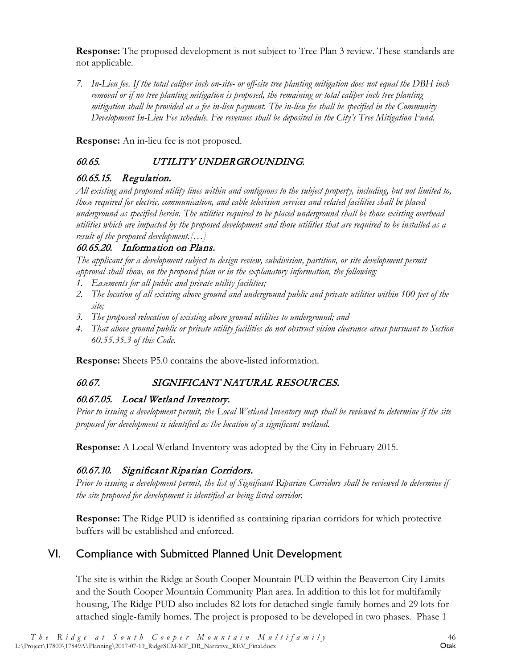**Response:** The proposed development is not subject to Tree Plan 3 review. These standards are not applicable.

*7. In-Lieu fee. If the total caliper inch on-site- or off-site tree planting mitigation does not equal the DBH inch removal or if no tree planting mitigation is proposed, the remaining or total caliper inch tree planting mitigation shall be provided as a fee in-lieu payment. The in-lieu fee shall be specified in the Community Development In-Lieu Fee schedule. Fee revenues shall be deposited in the City's Tree Mitigation Fund.*

**Response:** An in-lieu fee is not proposed.

#### <span id="page-50-0"></span>60.65. UTILITY UNDERGROUNDING.

#### 60.65.15. Regulation.

*All existing and proposed utility lines within and contiguous to the subject property, including, but not limited to, those required for electric, communication, and cable television services and related facilities shall be placed underground as specified herein. The utilities required to be placed underground shall be those existing overhead utilities which are impacted by the proposed development and those utilities that are required to be installed as a result of the proposed development.[…]*

#### 60.65.20. Information on Plans.

*The applicant for a development subject to design review, subdivision, partition, or site development permit approval shall show, on the proposed plan or in the explanatory information, the following:*

- *1. Easements for all public and private utility facilities;*
- *2. The location of all existing above ground and underground public and private utilities within 100 feet of the site;*
- *3. The proposed relocation of existing above ground utilities to underground; and*
- *4. That above ground public or private utility facilities do not obstruct vision clearance areas pursuant to Section 60.55.35.3 of this Code.*

**Response:** Sheets P5.0 contains the above-listed information.

#### <span id="page-50-1"></span>60.67. SIGNIFICANT NATURAL RESOURCES.

#### 60.67.05. Local Wetland Inventory.

*Prior to issuing a development permit, the Local Wetland Inventory map shall be reviewed to determine if the site proposed for development is identified as the location of a significant wetland.*

**Response:** A Local Wetland Inventory was adopted by the City in February 2015.

# 60.67.10. Significant Riparian Corridors.

*Prior to issuing a development permit, the list of Significant Riparian Corridors shall be reviewed to determine if the site proposed for development is identified as being listed corridor.*

**Response:** The Ridge PUD is identified as containing riparian corridors for which protective buffers will be established and enforced.

# <span id="page-50-2"></span>VI. Compliance with Submitted Planned Unit Development

The site is within the Ridge at South Cooper Mountain PUD within the Beaverton City Limits and the South Cooper Mountain Community Plan area. In addition to this lot for multifamily housing, The Ridge PUD also includes 82 lots for detached single-family homes and 29 lots for attached single-family homes. The project is proposed to be developed in two phases. Phase 1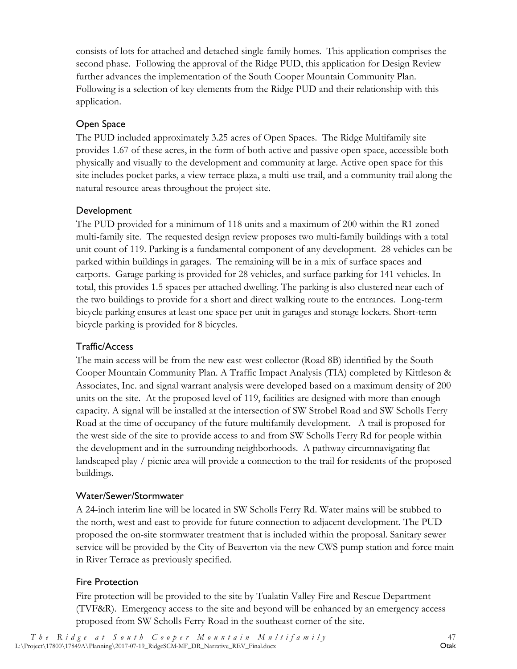consists of lots for attached and detached single-family homes. This application comprises the second phase. Following the approval of the Ridge PUD, this application for Design Review further advances the implementation of the South Cooper Mountain Community Plan. Following is a selection of key elements from the Ridge PUD and their relationship with this application.

# Open Space

The PUD included approximately 3.25 acres of Open Spaces. The Ridge Multifamily site provides 1.67 of these acres, in the form of both active and passive open space, accessible both physically and visually to the development and community at large. Active open space for this site includes pocket parks, a view terrace plaza, a multi-use trail, and a community trail along the natural resource areas throughout the project site.

#### Development

The PUD provided for a minimum of 118 units and a maximum of 200 within the R1 zoned multi-family site. The requested design review proposes two multi-family buildings with a total unit count of 119. Parking is a fundamental component of any development. 28 vehicles can be parked within buildings in garages. The remaining will be in a mix of surface spaces and carports. Garage parking is provided for 28 vehicles, and surface parking for 141 vehicles. In total, this provides 1.5 spaces per attached dwelling. The parking is also clustered near each of the two buildings to provide for a short and direct walking route to the entrances. Long-term bicycle parking ensures at least one space per unit in garages and storage lockers. Short-term bicycle parking is provided for 8 bicycles.

#### Traffic/Access

The main access will be from the new east-west collector (Road 8B) identified by the South Cooper Mountain Community Plan. A Traffic Impact Analysis (TIA) completed by Kittleson & Associates, Inc. and signal warrant analysis were developed based on a maximum density of 200 units on the site. At the proposed level of 119, facilities are designed with more than enough capacity. A signal will be installed at the intersection of SW Strobel Road and SW Scholls Ferry Road at the time of occupancy of the future multifamily development. A trail is proposed for the west side of the site to provide access to and from SW Scholls Ferry Rd for people within the development and in the surrounding neighborhoods. A pathway circumnavigating flat landscaped play / picnic area will provide a connection to the trail for residents of the proposed buildings.

#### Water/Sewer/Stormwater

A 24-inch interim line will be located in SW Scholls Ferry Rd. Water mains will be stubbed to the north, west and east to provide for future connection to adjacent development. The PUD proposed the on-site stormwater treatment that is included within the proposal. Sanitary sewer service will be provided by the City of Beaverton via the new CWS pump station and force main in River Terrace as previously specified.

#### Fire Protection

Fire protection will be provided to the site by Tualatin Valley Fire and Rescue Department (TVF&R). Emergency access to the site and beyond will be enhanced by an emergency access proposed from SW Scholls Ferry Road in the southeast corner of the site.